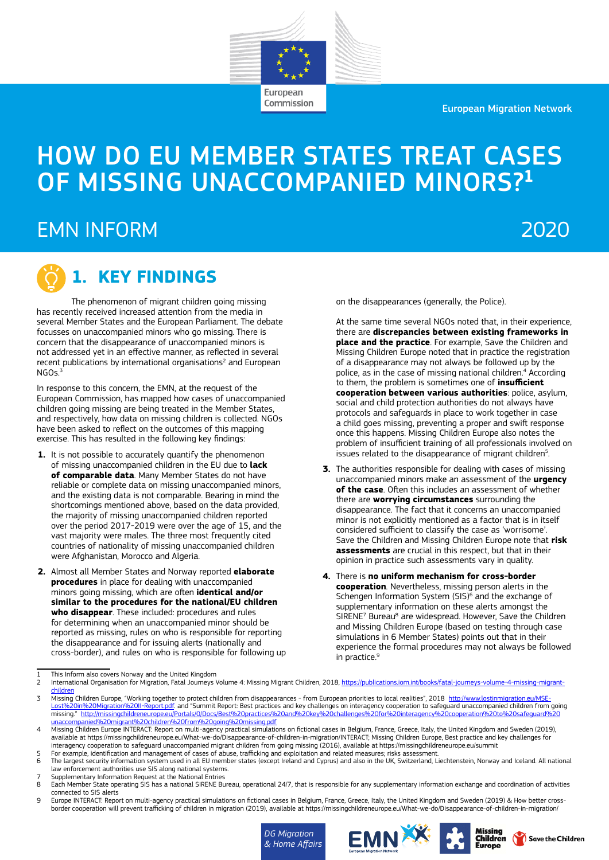European Migration Network

# HOW DO EU MEMBER STATES TREAT CASES OF MISSING UNACCOMPANIED MINORS?1

European Commission

## EMN INFORM

## 2020



## **1. KEY FINDINGS**

The phenomenon of migrant children going missing has recently received increased attention from the media in several Member States and the European Parliament. The debate focusses on unaccompanied minors who go missing. There is concern that the disappearance of unaccompanied minors is not addressed yet in an effective manner, as reflected in several recent publications by international organisations<sup>2</sup> and European NGO<sub>s.3</sub>

In response to this concern, the EMN, at the request of the European Commission, has mapped how cases of unaccompanied children going missing are being treated in the Member States, and respectively, how data on missing children is collected. NGOs have been asked to reflect on the outcomes of this mapping exercise. This has resulted in the following key findings:

- **1.** It is not possible to accurately quantify the phenomenon of missing unaccompanied children in the EU due to **lack of comparable data**. Many Member States do not have reliable or complete data on missing unaccompanied minors, and the existing data is not comparable. Bearing in mind the shortcomings mentioned above, based on the data provided, the majority of missing unaccompanied children reported over the period 2017-2019 were over the age of 15, and the vast majority were males. The three most frequently cited countries of nationality of missing unaccompanied children were Afghanistan, Morocco and Algeria.
- **2.** Almost all Member States and Norway reported **elaborate procedures** in place for dealing with unaccompanied minors going missing, which are often **identical and/or similar to the procedures for the national/EU children who disappear**. These included: procedures and rules for determining when an unaccompanied minor should be reported as missing, rules on who is responsible for reporting the disappearance and for issuing alerts (nationally and cross-border), and rules on who is responsible for following up

on the disappearances (generally, the Police).

At the same time several NGOs noted that, in their experience there are **discrepancies between existing frameworks in place and the practice**. For example, Save the Children and Missing Children Europe noted that in practice the registration of a disappearance may not always be followed up by the police, as in the case of missing national children.<sup>4</sup> According to them, the problem is sometimes one of **insufficient cooperation between various authorities**: police, asylum, social and child protection authorities do not always have protocols and safeguards in place to work together in case a child goes missing, preventing a proper and swift response once this happens. Missing Children Europe also notes the problem of insufficient training of all professionals involved on issues related to the disappearance of migrant children<sup>5</sup>.

- **3.** The authorities responsible for dealing with cases of missing unaccompanied minors make an assessment of the **urgency of the case**. Often this includes an assessment of whether there are **worrying circumstances** surrounding the disappearance. The fact that it concerns an unaccompanied minor is not explicitly mentioned as a factor that is in itself considered sufficient to classify the case as 'worrisome'. Save the Children and Missing Children Europe note that **risk assessments** are crucial in this respect, but that in their opinion in practice such assessments vary in quality.
- **4.** There is **no uniform mechanism for cross-border cooperation**. Nevertheless, missing person alerts in the Schengen Information System (SIS)<sup>6</sup> and the exchange of supplementary information on these alerts amongst the SIRENE<sup>7</sup> Bureau<sup>8</sup> are widespread. However, Save the Children and Missing Children Europe (based on testing through case simulations in 6 Member States) points out that in their experience the formal procedures may not always be followed in practice.<sup>9</sup>

3 Missing Children Europe, "Working together to protect children from disappearances - from European priorities to local realities", 2018 [http://www.lostinmigration.eu/MSE-](http://www.lostinmigration.eu/MSE-Lost%20in%20Migration%20II-Report.pdf)<u>[Lost%20in%20Migration%20II-Report.pdf](http://www.lostinmigration.eu/MSE-Lost%20in%20Migration%20II-Report.pdf)</u>. and "Summit Report: Best practices and key challenges on interagency cooperation to safeguard unaccompanied children from going<br>missing." <u>http://missingchildreneurope.eu/Portals/0/</u> nied%20migrant%20children%20from%20goin

7 Supplementary Information Request at the National Entries

9 Europe INTERACT: Report on multi-agency practical simulations on fictional cases in Belgium, France, Greece, Italy, the United Kingdom and Sweden (2019) & How better crossborder cooperation will prevent trafficking of children in migration (2019), available at https://missingchildreneurope.eu/What-we-do/Disappearance-of-children-in-migration/







<sup>1</sup> This Inform also covers Norway and the United Kingdom<br>2 International Organisation for Migration Fatal Journeys

International Organisation for Migration, Fatal Journeys Volume 4: Missing Migrant Children, 2018, [https://publications.iom.int/books/fatal-journeys-volume-4-missing-migrant](https://publications.iom.int/books/fatal-journeys-volume-4-missing-migrant-children)[children](https://publications.iom.int/books/fatal-journeys-volume-4-missing-migrant-children)

Missing Children Europe INTERACT: Report on multi-agency practical simulations on fictional cases in Belgium, France, Greece, Italy, the United Kingdom and Sweden (2019),<br>available at https://missingchildreneurope.eu/Whatinteragency cooperation to safeguard unaccompanied migrant children from going missing (2016), available at<https://missingchildreneurope.eu/summit>

<sup>5</sup> For example, identification and management of cases of abuse, trafficking and exploitation and related measures; risks assessment.

<sup>6</sup> The largest security information system used in all EU member states (except Ireland and Cyprus) and also in the UK, Switzerland, Liechtenstein, Norway and Iceland. All national<br>law enforcement authorities use SIS along

Each Member State operating SIS has a national SIRENE Bureau, operational 24/7, that is responsible for any supplementary information exchange and coordination of activities connected to SIS alerts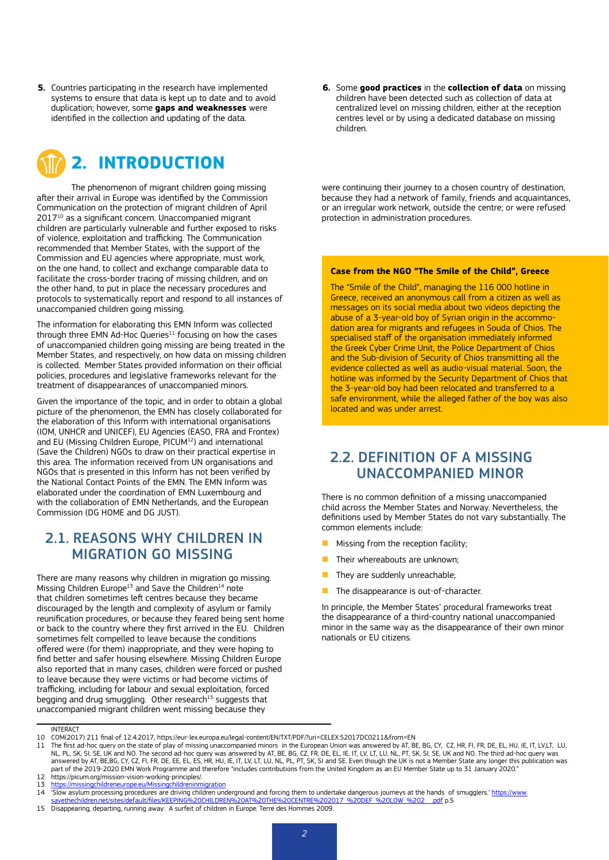**5.** Countries participating in the research have implemented systems to ensure that data is kept up to date and to avoid duplication; however, some **gaps and weaknesses** were identified in the collection and updating of the data.



The phenomenon of migrant children going missing after their arrival in Europe was identified by the Commission Communication on the protection of migrant children of April 201710 as a significant concern. Unaccompanied migrant children are particularly vulnerable and further exposed to risks of violence, exploitation and trafficking. The Communication recommended that Member States, with the support of the Commission and EU agencies where appropriate, must work, on the one hand, to collect and exchange comparable data to facilitate the cross-border tracing of missing children, and on the other hand, to put in place the necessary procedures and protocols to systematically report and respond to all instances of unaccompanied children going missing.

The information for elaborating this EMN Inform was collected through three EMN Ad-Hoc Queries $11$  focusing on how the cases of unaccompanied children going missing are being treated in the Member States, and respectively, on how data on missing children is collected. Member States provided information on their official policies, procedures and legislative frameworks relevant for the treatment of disappearances of unaccompanied minors.

Given the importance of the topic, and in order to obtain a global picture of the phenomenon, the EMN has closely collaborated for the elaboration of this Inform with international organisations (IOM, UNHCR and UNICEF), EU Agencies (EASO, FRA and Frontex) and EU (Missing Children Europe, PICUM<sup>12</sup>) and international (Save the Children) NGOs to draw on their practical expertise in this area. The information received from UN organisations and NGOs that is presented in this Inform has not been verified by the National Contact Points of the EMN. The EMN Inform was elaborated under the coordination of EMN Luxembourg and with the collaboration of EMN Netherlands, and the European Commission (DG HOME and DG JUST).

### 2.1. REASONS WHY CHILDREN IN MIGRATION GO MISSING

There are many reasons why children in migration go missing. Missing Children Europe<sup>13</sup> and Save the Children<sup>14</sup> note that children sometimes left centres because they became discouraged by the length and complexity of asylum or family reunification procedures, or because they feared being sent home or back to the country where they first arrived in the EU. Children sometimes felt compelled to leave because the conditions offered were (for them) inappropriate, and they were hoping to find better and safer housing elsewhere. Missing Children Europe also reported that in many cases, children were forced or pushed to leave because they were victims or had become victims of trafficking, including for labour and sexual exploitation, forced begging and drug smuggling. Other research<sup>15</sup> suggests that unaccompanied migrant children went missing because they

**6.** Some **good practices** in the **collection of data** on missing children have been detected such as collection of data at centralized level on missing children, either at the reception centres level or by using a dedicated database on missing children.

were continuing their journey to a chosen country of destination, because they had a network of family, friends and acquaintances, or an irregular work network, outside the centre; or were refused protection in administration procedures.

#### **Case from the NGO "The Smile of the Child", Greece**

The "Smile of the Child", managing the 116 000 hotline in Greece, received an anonymous call from a citizen as well as messages on its social media about two videos depicting the abuse of a 3-year-old boy of Syrian origin in the accommodation area for migrants and refugees in Souda of Chios. The specialised staff of the organisation immediately informed the Greek Cyber Crime Unit, the Police Department of Chios and the Sub-division of Security of Chios transmitting all the evidence collected as well as audio-visual material. Soon, the hotline was informed by the Security Department of Chios that the 3-year-old boy had been relocated and transferred to a safe environment, while the alleged father of the boy was also located and was under arrest.

### 2.2. DEFINITION OF A MISSING UNACCOMPANIED MINOR

There is no common definition of a missing unaccompanied child across the Member States and Norway. Nevertheless, the definitions used by Member States do not vary substantially. The common elements include:

- Missing from the reception facility;
- $\blacksquare$  Their whereabouts are unknown:
- $\blacksquare$  They are suddenly unreachable;
- **n** The disappearance is out-of-character.

In principle, the Member States' procedural frameworks treat the disappearance of a third-country national unaccompanied minor in the same way as the disappearance of their own minor nationals or EU citizens.

fault/files/KEEPING%20CHILDREN%20AT%20THE%20CENTRE%202017\_%20DEF\_%20LOW\_%202\_\_.pdf p.5

**INTERACT** 

<sup>10</sup> COM(2017) 211 final of 12.4.2017, <https://eur-lex.europa.eu/legal-content/EN/TXT/PDF/?uri=CELEX:52017DC0211&from=EN>

The first ad-hoc query on the state of play of missing unaccompanied minors in the European Union was answered by AT, BE, BG, CY, CZ, HR, FI, FR, DE, EL, HU, IE, IT, LV,LT, LU, NL, PL, SK, SI, SE, UK and NO. The second ad-hoc query was answered by AT, BE, BG, CZ, FR, DE, EL, IE, IT, LV, LT, LU, NL, PT, SK, SI, SE, UK and NO. The third ad-hoc query was answered by AT, BE,BG, CY, CZ, FI, FR, DE, EE, EL, ES, HR, HU, IE, IT, LV, LT, LU, NL, PL, PT, SK, SI and SE. Even though the UK is not a Member State any longer this publication was part of the 2019-2020 EMN Work Programme and therefore "includes contributions from the United Kingdom as an EU Member State up to 31 January 2020."

<sup>12</sup> https://picum.org/mission-vision-working-principles/.<br>13 https://missionchildreneurone.eu/Missionchildrenium

<sup>13</sup> <https://missingchildreneurope.eu/Missingchildreninmigration><br>14 Slow asylum processing procedures are driving children une

<sup>&</sup>quot;Slow asylum processing procedures are driving children underground and forcing them to undertake dangerous journeys at the hands of smugglers.' [https://www.](https://www.savethechildren.net/sites/default/files/KEEPING%20CHILDREN%20AT%20THE%20CENTRE%202017_%20DEF_%20LOW_%202__.pdf)<br>Savethechildren.net/sites/default/files/KEEPING%20CHILDREN%20AT%

<sup>15</sup> Disappearing, departing, running away: A surfeit of children in Europe. Terre des Hommes 2009.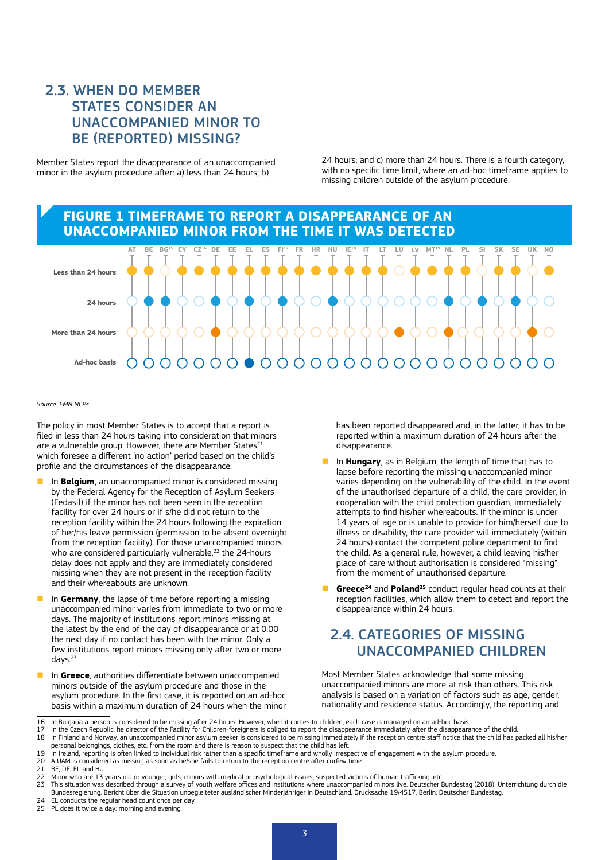## 2.3. WHEN DO MEMBER STATES CONSIDER AN UNACCOMPANIED MINOR TO BE (REPORTED) MISSING?

Member States report the disappearance of an unaccompanied minor in the asylum procedure after: a) less than 24 hours; b)

24 hours; and c) more than 24 hours. There is a fourth category, with no specific time limit, where an ad-hoc timeframe applies to missing children outside of the asylum procedure.

#### **FIGURE 1 TIMEFRAME TO REPORT A DISAPPEARANCE OF AN UNACCOMPANIED MINOR FROM THE TIME IT WAS DETECTED**



*Source: EMN NCPs*

The policy in most Member States is to accept that a report is filed in less than 24 hours taking into consideration that minors are a vulnerable group. However, there are Member States $^{21}$ which foresee a different 'no action' period based on the child's profile and the circumstances of the disappearance.

- n In **Belgium**, an unaccompanied minor is considered missing by the Federal Agency for the Reception of Asylum Seekers (Fedasil) if the minor has not been seen in the reception facility for over 24 hours or if s/he did not return to the reception facility within the 24 hours following the expiration of her/his leave permission (permission to be absent overnight from the reception facility). For those unaccompanied minors who are considered particularly vulnerable,<sup>22</sup> the 24-hours delay does not apply and they are immediately considered missing when they are not present in the reception facility and their whereabouts are unknown.
- **n** In **Germany**, the lapse of time before reporting a missing unaccompanied minor varies from immediate to two or more days. The majority of institutions report minors missing at the latest by the end of the day of disappearance or at 0:00 the next day if no contact has been with the minor. Only a few institutions report minors missing only after two or more days.23
- **n** In Greece, authorities differentiate between unaccompanied minors outside of the asylum procedure and those in the asylum procedure. In the first case, it is reported on an ad-hoc basis within a maximum duration of 24 hours when the minor

has been reported disappeared and, in the latter, it has to be reported within a maximum duration of 24 hours after the disappearance.

- n In **Hungary**, as in Belgium, the length of time that has to lapse before reporting the missing unaccompanied minor varies depending on the vulnerability of the child. In the event of the unauthorised departure of a child, the care provider, in cooperation with the child protection guardian, immediately attempts to find his/her whereabouts. If the minor is under 14 years of age or is unable to provide for him/herself due to illness or disability, the care provider will immediately (within 24 hours) contact the competent police department to find the child. As a general rule, however, a child leaving his/her place of care without authorisation is considered "missing" from the moment of unauthorised departure.
- **Greece<sup>24</sup>** and **Poland<sup>25</sup>** conduct regular head counts at their reception facilities, which allow them to detect and report the disappearance within 24 hours.

## 2.4. CATEGORIES OF MISSING UNACCOMPANIED CHILDREN

Most Member States acknowledge that some missing unaccompanied minors are more at risk than others. This risk analysis is based on a variation of factors such as age, gender, nationality and residence status. Accordingly, the reporting and

- 17 In the Czech Republic, he director of the Facility for Children-foreigners is obliged to report the disappearance immediately after the disappearance of the child.<br>18 In Finland and Norway, an unaccompanied minor asylum personal belongings, clothes, etc. from the room and there is reason to suspect that the child has left.
- 19 In Ireland, reporting is often linked to individual risk rather than a specific timeframe and wholly irrespective of engagement with the asylum procedure
- 20 A UAM is considered as missing as soon as he/she fails to return to the reception centre after curfew time.<br>21 BE DE FL and HU
- 21 BE, DE, EL and HU.<br>22 Minor who are 13

- 24 EL conducts the regular head count once per day.<br>25 PL does it twice a day: morning and evening.
- PL does it twice a day: morning and evening.

<sup>16</sup> In Bulgaria a person is considered to be missing after 24 hours. However, when it comes to children, each case is managed on an ad-hoc basis.

<sup>22</sup> Minor who are 13 years old or younger, girls, minors with medical or psychological issues, suspected victims of human trafficking, etc.<br>23 This situation was described through a survey of youth welfare offices and insti

<sup>23</sup> This situation was described through a survey of youth welfare offices and institutions where unaccompanied minors live. Deutscher Bundestag (2018): Unterrichtung durch die Bundesregierung. Bericht über die Situation unbegleiteter ausländischer Minderjähriger in Deutschland. Drucksache 19/4517. Berlin: Deutscher Bundestag.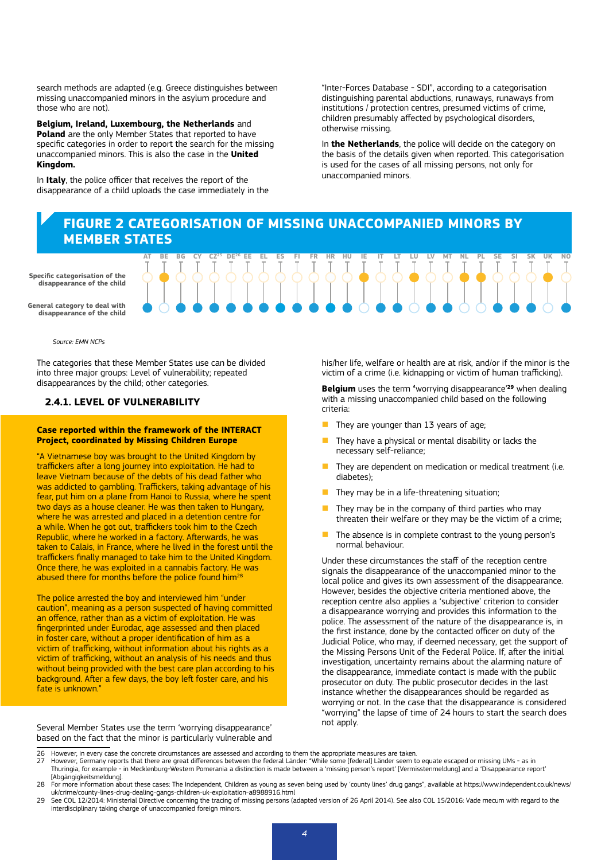search methods are adapted (e.g. Greece distinguishes between missing unaccompanied minors in the asylum procedure and those who are not).

**Belgium, Ireland, Luxembourg, the Netherlands** and **Poland** are the only Member States that reported to have specific categories in order to report the search for the missing unaccompanied minors. This is also the case in the **United Kingdom.**

In **Italy**, the police officer that receives the report of the disappearance of a child uploads the case immediately in the "Inter-Forces Database - SDI", according to a categorisation distinguishing parental abductions, runaways, runaways from institutions / protection centres, presumed victims of crime, children presumably affected by psychological disorders, otherwise missing.

In **the Netherlands**, the police will decide on the category on the basis of the details given when reported. This categorisation is used for the cases of all missing persons, not only for unaccompanied minors.

#### **FIGURE 2 CATEGORISATION OF MISSING UNACCOMPANIED MINORS BY MEMBER STATES**

AT BE BG CY CZ<sup>25</sup> DE<sup>26</sup> EE EL ES FI FR HR HU IE IT LT LU LV MT NL PL SE SI SK UK NO

 $S$  pecific categorisation of the  $\left\{ \left( \left. \left( \left. \left( \left. \left( \left. \left( \left. \left( \left. \left( \left. \left( \left. \left( \left. \left( \left. \left( \left. \left( \left. \left( \left. \left( \left. \left( \left. \left( \left. \left( \left. \left( \left. \left( \left. \left( \left. \left( \left. \left. \left( \left. \left. \left( \right. \right. \right. \right) \right. \right. \left. \left. \left. \left( \left. \left. \left( \$ pearance of the chita<br>  $\begin{bmatrix} 1 & 1 \\ 1 & 1 \end{bmatrix}$   $\begin{bmatrix} 1 & 1 \\ 1 & 1 \end{bmatrix}$   $\begin{bmatrix} 1 & 1 \\ 1 & 1 \end{bmatrix}$   $\begin{bmatrix} 1 & 1 \\ 1 & 1 \end{bmatrix}$ **disappearance of the child**

**General category to deal with disappearance of the child**

*Source: EMN NCPs*

The categories that these Member States use can be divided into three major groups: Level of vulnerability; repeated disappearances by the child; other categories.

#### **2.4.1. LEVEL OF VULNERABILITY**

#### **Case reported within the framework of the INTERACT Project, coordinated by Missing Children Europe**

"A Vietnamese boy was brought to the United Kingdom by traffickers after a long journey into exploitation. He had to leave Vietnam because of the debts of his dead father who was addicted to gambling. Traffickers, taking advantage of his fear, put him on a plane from Hanoi to Russia, where he spent two days as a house cleaner. He was then taken to Hungary, where he was arrested and placed in a detention centre for a while. When he got out, traffickers took him to the Czech Republic, where he worked in a factory. Afterwards, he was taken to Calais, in France, where he lived in the forest until the traffickers finally managed to take him to the United Kingdom. Once there, he was exploited in a cannabis factory. He was abused there for months before the police found him<sup>28</sup>

The police arrested the boy and interviewed him "under caution", meaning as a person suspected of having committed an offence, rather than as a victim of exploitation. He was fingerprinted under Eurodac, age assessed and then placed in foster care, without a proper identification of him as a victim of trafficking, without information about his rights as a victim of trafficking, without an analysis of his needs and thus without being provided with the best care plan according to his background. After a few days, the boy left foster care, and his fate is unknown."

Several Member States use the term 'worrying disappearance' based on the fact that the minor is particularly vulnerable and his/her life, welfare or health are at risk, and/or if the minor is the victim of a crime (i.e. kidnapping or victim of human trafficking).

**Belgium** uses the term **'**worrying disappearance'**<sup>29</sup>** when dealing with a missing unaccompanied child based on the following criteria:

- They are younger than 13 years of age;
- $\blacksquare$  They have a physical or mental disability or lacks the necessary self-reliance;
- They are dependent on medication or medical treatment (i.e. diabetes);
- They may be in a life-threatening situation;
- They may be in the company of third parties who may threaten their welfare or they may be the victim of a crime;
- The absence is in complete contrast to the young person's normal behaviour.

Under these circumstances the staff of the reception centre signals the disappearance of the unaccompanied minor to the local police and gives its own assessment of the disappearance. However, besides the objective criteria mentioned above, the reception centre also applies a 'subjective' criterion to consider a disappearance worrying and provides this information to the police. The assessment of the nature of the disappearance is, in the first instance, done by the contacted officer on duty of the Judicial Police, who may, if deemed necessary, get the support of the Missing Persons Unit of the Federal Police. If, after the initial investigation, uncertainty remains about the alarming nature of the disappearance, immediate contact is made with the public prosecutor on duty. The public prosecutor decides in the last instance whether the disappearances should be regarded as worrying or not. In the case that the disappearance is considered "worrying" the lapse of time of 24 hours to start the search does not apply.

- 26 However, in every case the concrete circumstances are assessed and according to them the appropriate measures are taken.
- However, Germany reports that there are great differences between the federal Länder: "While some [federal] Länder seem to equate escaped or missing UMs as in<br>"Thuringia, for example in Mecklenburg-Western Pomerania a [Abgängigkeitsmeldung].

interdisciplinary taking charge of unaccompanied foreign minors.

<sup>28</sup> For more information about these cases: The Independent, Children as young as seven being used by 'county lines' drug gangs", available at [https://www.independent.co.uk/news/](https://www.independent.co.uk/news/uk/crime/county-lines-drug-dealing-gangs-children-uk-exploitation-a8988916.html) [uk/crime/county-lines-drug-dealing-gangs-children-uk-exploitation-a8988916.html](https://www.independent.co.uk/news/uk/crime/county-lines-drug-dealing-gangs-children-uk-exploitation-a8988916.html)<br>29 See COL 12/2014: Ministerial Directive concerning the tracing of missing persons (adapted version of 26 April 2014). See also COL 15/2016: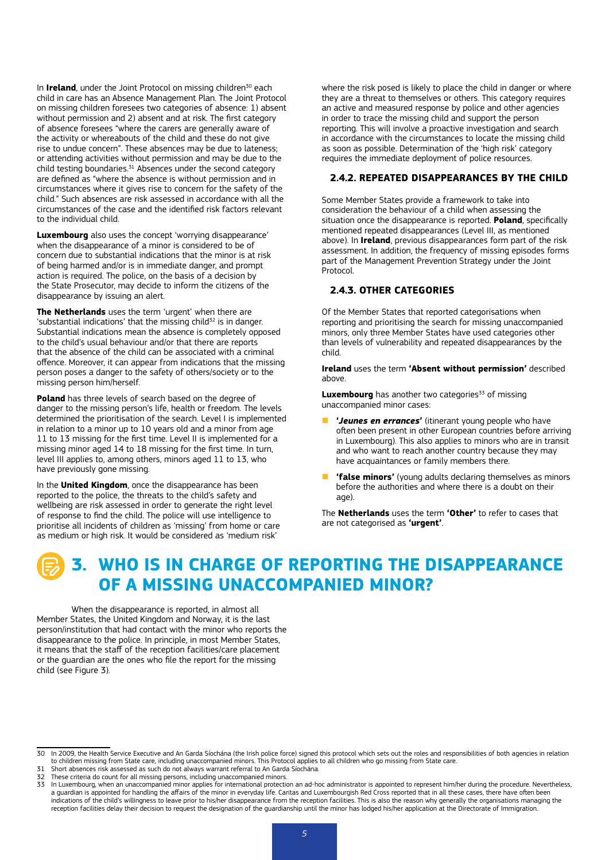In **Ireland**, under the Joint Protocol on missing children<sup>30</sup> each child in care has an Absence Management Plan. The Joint Protocol on missing children foresees two categories of absence: 1) absent without permission and 2) absent and at risk. The first category of absence foresees "where the carers are generally aware of the activity or whereabouts of the child and these do not give rise to undue concern". These absences may be due to lateness; or attending activities without permission and may be due to the child testing boundaries. $31$  Absences under the second category are defined as "where the absence is without permission and in circumstances where it gives rise to concern for the safety of the child." Such absences are risk assessed in accordance with all the circumstances of the case and the identified risk factors relevant to the individual child.

**Luxembourg** also uses the concept 'worrying disappearance' when the disappearance of a minor is considered to be of concern due to substantial indications that the minor is at risk of being harmed and/or is in immediate danger, and prompt action is required. The police, on the basis of a decision by the State Prosecutor, may decide to inform the citizens of the disappearance by issuing an alert.

**The Netherlands** uses the term 'urgent' when there are 'substantial indications' that the missing child $32$  is in danger. Substantial indications mean the absence is completely opposed to the child's usual behaviour and/or that there are reports that the absence of the child can be associated with a criminal offence. Moreover, it can appear from indications that the missing person poses a danger to the safety of others/society or to the missing person him/herself.

**Poland** has three levels of search based on the degree of danger to the missing person's life, health or freedom. The levels determined the prioritisation of the search. Level I is implemented in relation to a minor up to 10 years old and a minor from age 11 to 13 missing for the first time. Level II is implemented for a missing minor aged 14 to 18 missing for the first time. In turn, level III applies to, among others, minors aged 11 to 13, who have previously gone missing.

In the **United Kingdom**, once the disappearance has been reported to the police, the threats to the child's safety and wellbeing are risk assessed in order to generate the right level of response to find the child. The police will use intelligence to prioritise all incidents of children as 'missing' from home or care as medium or high risk. It would be considered as 'medium risk'

where the risk posed is likely to place the child in danger or where they are a threat to themselves or others. This category requires an active and measured response by police and other agencies in order to trace the missing child and support the person reporting. This will involve a proactive investigation and search in accordance with the circumstances to locate the missing child as soon as possible. Determination of the 'high risk' category requires the immediate deployment of police resources.

#### **2.4.2. REPEATED DISAPPEARANCES BY THE CHILD**

Some Member States provide a framework to take into consideration the behaviour of a child when assessing the situation once the disappearance is reported. **Poland**, specifically mentioned repeated disappearances (Level III, as mentioned above). In **Ireland**, previous disappearances form part of the risk assessment. In addition, the frequency of missing episodes forms part of the Management Prevention Strategy under the Joint Protocol.

#### **2.4.3. OTHER CATEGORIES**

Of the Member States that reported categorisations when reporting and prioritising the search for missing unaccompanied minors, only three Member States have used categories other than levels of vulnerability and repeated disappearances by the child.

**Ireland** uses the term **'Absent without permission'** described above.

**Luxembourg** has another two categories<sup>33</sup> of missing unaccompanied minor cases:

- n **'***Jeunes en errances***'** (itinerant young people who have often been present in other European countries before arriving in Luxembourg). This also applies to minors who are in transit and who want to reach another country because they may have acquaintances or family members there.
- **'false minors'** (young adults declaring themselves as minors before the authorities and where there is a doubt on their ane).

The **Netherlands** uses the term **'Other'** to refer to cases that are not categorised as **'urgent'**.

## **3. WHO IS IN CHARGE OF REPORTING THE DISAPPEARANCE OF A MISSING UNACCOMPANIED MINOR?**

When the disappearance is reported, in almost all Member States, the United Kingdom and Norway, it is the last person/institution that had contact with the minor who reports the disappearance to the police. In principle, in most Member States, it means that the staff of the reception facilities/care placement or the guardian are the ones who file the report for the missing child (see Figure 3).

<sup>30</sup> In 2009, the Health Service Executive and An Garda Síochána (the Irish police force) signed this protocol which sets out the roles and responsibilities of both agencies in relation to children missing from State care, including unaccompanied minors. This Protocol applies to all children who go missing from State care.

<sup>31</sup> Short absences risk assessed as such do not always warrant referral to An Garda Síochána.<br>32 These criteria do count for all missing persons, including unaccompanied minors.

<sup>32</sup> These criteria do count for all missing persons, including unaccompanied minors.<br>33 In Luxembourg when an unaccompanied minor applies for international protection

In Luxembourg, when an unaccompanied minor applies for international protection an ad-hoc administrator is appointed to represent him/her during the procedure. Nevertheless, a guardian is appointed for handling the affairs of the minor in everyday life. Caritas and Luxembourgish Red Cross reported that in all these cases, there have often been<br>indications of the child's willingness to leave pr reception facilities delay their decision to request the designation of the guardianship until the minor has lodged his/her application at the Directorate of Immigration.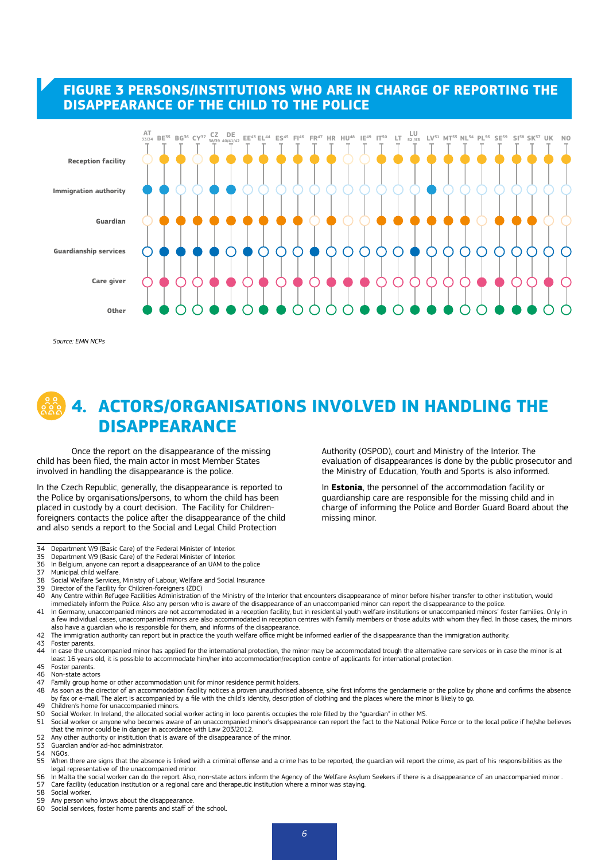#### **FIGURE 3 PERSONS/INSTITUTIONS WHO ARE IN CHARGE OF REPORTING THE DISAPPEARANCE OF THE CHILD TO THE POLICE**



*Source: EMN NCPs*

## **4. ACTORS/ORGANISATIONS INVOLVED IN HANDLING THE DISAPPEARANCE**

Once the report on the disappearance of the missing child has been filed, the main actor in most Member States involved in handling the disappearance is the police.

In the Czech Republic, generally, the disappearance is reported to the Police by organisations/persons, to whom the child has been placed in custody by a court decision. The Facility for Childrenforeigners contacts the police after the disappearance of the child and also sends a report to the Social and Legal Child Protection

- 34 Department V/9 (Basic Care) of the Federal Minister of Interior.<br>35 Department V/9 (Basic Care) of the Federal Minister of Interior
- 35 Department V/9 (Basic Care) of the Federal Minister of Interior.
- 36 In Belgium, anyone can report a disappearance of an UAM to the police
- Municipal child welfare.
- 38 Social Welfare Services, Ministry of Labour, Welfare and Social Insurance<br>39 Director of the Facility for Children-foreigners (ZDC)
- 39 Director of the Facility for Children-foreigners (ZDC)<br>40 Any Centre within Refunee Facilities Administration
- 40 Any Centre within Refugee Facilities Administration of the Ministry of the Interior that encounters disappearance of minor before his/her transfer to other institution, would immediately inform the Police. Also any person who is aware of the disappearance of an unaccompanied minor can report the disappearance to the police.
- 41 In Germany, unaccompanied minors are not accommodated in a reception facility, but in residential youth welfare institutions or unaccompanied minors' foster families. Only in a few individual cases, unaccompanied minors are also accommodated in reception centres with family members or those adults with whom they fled. In those cases, the minors also have a guardian who is responsible for them, and informs of the disappearance.
- 42 The immigration authority can report but in practice the youth welfare office might be informed earlier of the disappearance than the immigration authority.
- 43 Foster parents.<br>44 In case the una
- In case the unaccompanied minor has applied for the international protection, the minor may be accommodated trough the alternative care services or in case the minor is at least 16 years old, it is possible to accommodate him/her into accommodation/reception centre of applicants for international protection. 45 Foster parents.
- 
- 46 Non-state actors<br>47 Family group hor 47 Family group home or other accommodation unit for minor residence permit holders.<br>48 As soon as the director of an accommodation facility notices a proven unauthorised
- As soon as the director of an accommodation facility notices a proven unauthorised absence, s/he first informs the gendarmerie or the police by phone and confirms the absence by fax or e-mail. The alert is accompanied by a file with the child's identity, description of clothing and the places where the minor is likely to go.
- 49 Children's home for unaccompanied minors.<br>50 Social Worker In Ireland, the allocated social
- 50 Social Worker. In Ireland, the allocated social worker acting in loco parentis occupies the role filled by the "guardian" in other MS.<br>51 Social worker or anyone who becomes aware of an unaccompanied minor's disappearan
- Social worker or anyone who becomes aware of an unaccompanied minor's disappearance can report the fact to the National Police Force or to the local police if he/she believes that the minor could be in danger in accordance with Law 203/2012.
- 52 Any other authority or institution that is aware of the disappearance of the minor.<br>53 Guardian and/or ad-hoc administrator.
- 53 Guardian and/or ad-hoc administrator.<br>54 NGOs.
- NGOs
- 55 When there are signs that the absence is linked with a criminal offense and a crime has to be reported, the guardian will report the crime, as part of his responsibilities as the legal representative of the unaccompanied minor.
- 56 In Malta the social worker can do the report. Also, non-state actors inform the Agency of the Welfare Asylum Seekers if there is a disappearance of an unaccompanied minor .<br>57 Care facility (education institution or a r 57 Care facility (education institution or a regional care and therapeutic institution where a minor was staying.<br>58 Social worker
- 58 Social worker.<br>59 Any person w
- 59 Any person who knows about the disappearance.<br>50 Social services. foster home parents and staff of
- Social services, foster home parents and staff of the school.

Authority (OSPOD), court and Ministry of the Interior. The evaluation of disappearances is done by the public prosecutor and the Ministry of Education, Youth and Sports is also informed.

In **Estonia**, the personnel of the accommodation facility or guardianship care are responsible for the missing child and in charge of informing the Police and Border Guard Board about the missing minor.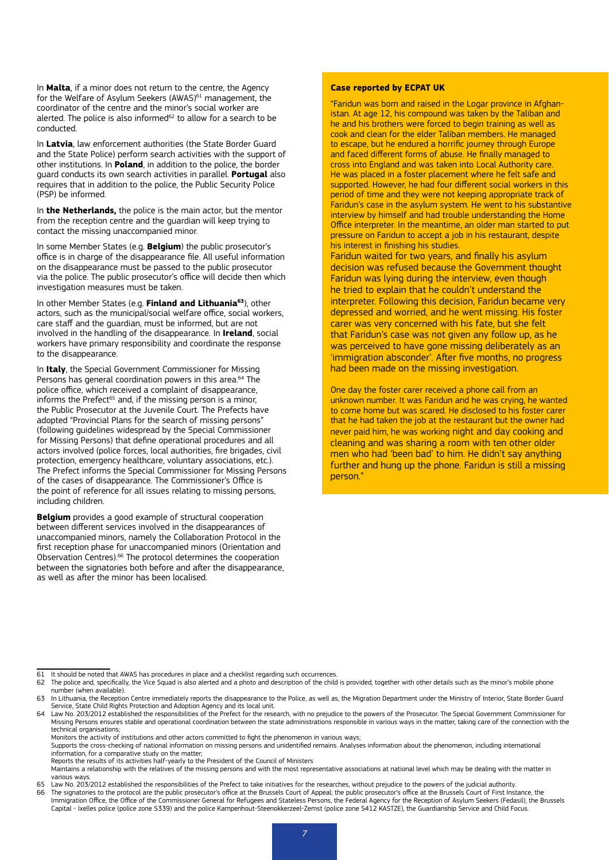In **Malta**, if a minor does not return to the centre, the Agency for the Welfare of Asylum Seekers (AWAS)<sup>61</sup> management, the coordinator of the centre and the minor's social worker are alerted. The police is also informed<sup>62</sup> to allow for a search to be conducted.

In **Latvia**, law enforcement authorities (the State Border Guard and the State Police) perform search activities with the support of other institutions. In **Poland**, in addition to the police, the border guard conducts its own search activities in parallel. **Portugal** also requires that in addition to the police, the Public Security Police (PSP) be informed.

In **the Netherlands,** the police is the main actor, but the mentor from the reception centre and the guardian will keep trying to contact the missing unaccompanied minor.

In some Member States (e.g. **Belgium**) the public prosecutor's office is in charge of the disappearance file. All useful information on the disappearance must be passed to the public prosecutor via the police. The public prosecutor's office will decide then which investigation measures must be taken.

In other Member States (e.g. **Finland and Lithuania63**), other actors, such as the municipal/social welfare office, social workers, care staff and the guardian, must be informed, but are not involved in the handling of the disappearance. In **Ireland**, social workers have primary responsibility and coordinate the response to the disappearance.

In **Italy**, the Special Government Commissioner for Missing Persons has general coordination powers in this area.<sup>64</sup> The police office, which received a complaint of disappearance, informs the Prefect<sup>65</sup> and, if the missing person is a minor, the Public Prosecutor at the Juvenile Court. The Prefects have adopted "Provincial Plans for the search of missing persons" (following guidelines widespread by the Special Commissioner for Missing Persons) that define operational procedures and all actors involved (police forces, local authorities, fire brigades, civil protection, emergency healthcare, voluntary associations, etc.). The Prefect informs the Special Commissioner for Missing Persons of the cases of disappearance. The Commissioner's Office is the point of reference for all issues relating to missing persons, including children.

**Belgium** provides a good example of structural cooperation between different services involved in the disappearances of unaccompanied minors, namely the Collaboration Protocol in the first reception phase for unaccompanied minors (Orientation and Observation Centres).66 The protocol determines the cooperation between the signatories both before and after the disappearance, as well as after the minor has been localised.

#### **Case reported by ECPAT UK**

"Faridun was born and raised in the Logar province in Afghanistan. At age 12, his compound was taken by the Taliban and he and his brothers were forced to begin training as well as cook and clean for the elder Taliban members. He managed to escape, but he endured a horrific journey through Europe and faced different forms of abuse. He finally managed to cross into England and was taken into Local Authority care. He was placed in a foster placement where he felt safe and supported. However, he had four different social workers in this period of time and they were not keeping appropriate track of Faridun's case in the asylum system. He went to his substantive interview by himself and had trouble understanding the Home Office interpreter. In the meantime, an older man started to put pressure on Faridun to accept a job in his restaurant, despite his interest in finishing his studies.

Faridun waited for two years, and finally his asylum decision was refused because the Government thought Faridun was lying during the interview, even though he tried to explain that he couldn't understand the interpreter. Following this decision, Faridun became very depressed and worried, and he went missing. His foster carer was very concerned with his fate, but she felt that Faridun's case was not given any follow up, as he was perceived to have gone missing deliberately as an 'immigration absconder'. After five months, no progress had been made on the missing investigation.

One day the foster carer received a phone call from an unknown number. It was Faridun and he was crying, he wanted to come home but was scared. He disclosed to his foster carer that he had taken the job at the restaurant but the owner had never paid him, he was working night and day cooking and cleaning and was sharing a room with ten other older men who had 'been bad' to him. He didn't say anything further and hung up the phone. Faridun is still a missing person."

Reports the results of its activities half-yearly to the President of the Council of Ministers

Maintains a relationship with the relatives of the missing persons and with the most representative associations at national level which may be dealing with the matter in various ways.

<sup>61</sup> It should be noted that AWAS has procedures in place and a checklist regarding such occurrences.

The police and, specifically, the Vice Squad is also alerted and a photo and description of the child is provided, together with other details such as the minor's mobile phone number (when available).

<sup>63</sup> In Lithuania, the Reception Centre immediately reports the disappearance to the Police, as well as, the Migration Department under the Ministry of Interior, State Border Guard Service, State Child Rights Protection and Adoption Agency and its local unit.

<sup>64</sup> Law No. 203/2012 established the responsibilities of the Prefect for the research, with no prejudice to the powers of the Prosecutor. The Special Government Commissioner for Missing Persons ensures stable and operational coordination between the state administrations responsible in various ways in the matter, taking care of the connection with the technical organisations;

Monitors the activity of institutions and other actors committed to fight the phenomenon in various ways;

Supports the cross-checking of national information on missing persons and unidentified remains. Analyses information about the phenomenon, including international information, for a comparative study on the matter;

<sup>65</sup> Law No. 203/2012 established the responsibilities of the Prefect to take initiatives for the researches, without prejudice to the powers of the judicial authority.<br>65 The signatories to the protocol are the public prose 66 The signatories to the protocol are the public prosecutor's office at the Brussels Court of Appeal; the public prosecutor's office at the Brussels Court of First Instance, the Drussels Court of First Instance, the Pusse Capital - Ixelles police (police zone 5339) and the police Kampenhout-Steenokkerzeel-Zemst (police zone 5412 KASTZE), the Guardianship Service and Child Focus.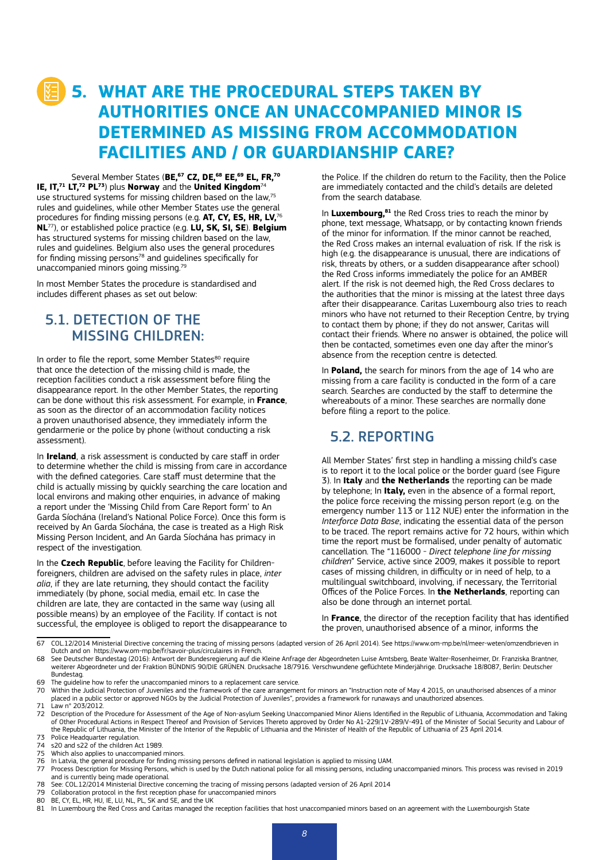## **5. WHAT ARE THE PROCEDURAL STEPS TAKEN BY AUTHORITIES ONCE AN UNACCOMPANIED MINOR IS DETERMINED AS MISSING FROM ACCOMMODATION FACILITIES AND / OR GUARDIANSHIP CARE?**

Several Member States (BE,<sup>67</sup> CZ, DE,<sup>68</sup> EE,<sup>69</sup> EL, FR,<sup>70</sup> **IE, IT,71 LT,72 PL73**) plus **Norway** and the **United Kingdom**<sup>74</sup> use structured systems for missing children based on the law,75 rules and guidelines, while other Member States use the general procedures for finding missing persons (e.g. **AT, CY, ES, HR, LV,**<sup>76</sup> **NL**77), or established police practice (e.g. **LU, SK, SI, SE**). **Belgium** has structured systems for missing children based on the law, rules and guidelines. Belgium also uses the general procedures for finding missing persons<sup>78</sup> and guidelines specifically for unaccompanied minors going missing.79

In most Member States the procedure is standardised and includes different phases as set out below:

## 5.1. DETECTION OF THE MISSING CHILDREN:

In order to file the report, some Member States<sup>80</sup> require that once the detection of the missing child is made, the reception facilities conduct a risk assessment before filing the disappearance report. In the other Member States, the reporting can be done without this risk assessment. For example, in **France**, as soon as the director of an accommodation facility notices a proven unauthorised absence, they immediately inform the gendarmerie or the police by phone (without conducting a risk assessment).

In **Ireland**, a risk assessment is conducted by care staff in order to determine whether the child is missing from care in accordance with the defined categories. Care staff must determine that the child is actually missing by quickly searching the care location and local environs and making other enquiries, in advance of making a report under the 'Missing Child from Care Report form' to An Garda Síochána (Ireland's National Police Force). Once this form is received by An Garda Síochána, the case is treated as a High Risk Missing Person Incident, and An Garda Síochána has primacy in respect of the investigation.

In the **Czech Republic**, before leaving the Facility for Childrenforeigners, children are advised on the safety rules in place, *inter alia*, if they are late returning, they should contact the facility immediately (by phone, social media, email etc. In case the children are late, they are contacted in the same way (using all possible means) by an employee of the Facility. If contact is not successful, the employee is obliged to report the disappearance to the Police. If the children do return to the Facility, then the Police are immediately contacted and the child's details are deleted from the search database.

In **Luxembourg,81** the Red Cross tries to reach the minor by phone, text message, Whatsapp, or by contacting known friends of the minor for information. If the minor cannot be reached, the Red Cross makes an internal evaluation of risk. If the risk is high (e.g. the disappearance is unusual, there are indications of risk, threats by others, or a sudden disappearance after school) the Red Cross informs immediately the police for an AMBER alert. If the risk is not deemed high, the Red Cross declares to the authorities that the minor is missing at the latest three days after their disappearance. Caritas Luxembourg also tries to reach minors who have not returned to their Reception Centre, by trying to contact them by phone; if they do not answer, Caritas will contact their friends. Where no answer is obtained, the police will then be contacted, sometimes even one day after the minor's absence from the reception centre is detected.

In **Poland,** the search for minors from the age of 14 who are missing from a care facility is conducted in the form of a care search. Searches are conducted by the staff to determine the whereabouts of a minor. These searches are normally done before filing a report to the police.

## 5.2. REPORTING

All Member States' first step in handling a missing child's case is to report it to the local police or the border guard (see Figure 3). In **Italy** and **the Netherlands** the reporting can be made by telephone; In **Italy,** even in the absence of a formal report, the police force receiving the missing person report (e.g. on the emergency number 113 or 112 NUE) enter the information in the *Interforce Data Base*, indicating the essential data of the person to be traced. The report remains active for 72 hours, within which time the report must be formalised, under penalty of automatic cancellation. The "116000 - *Direct telephone line for missing children*" Service, active since 2009, makes it possible to report cases of missing children, in difficulty or in need of help, to a multilingual switchboard, involving, if necessary, the Territorial Offices of the Police Forces. In **the Netherlands**, reporting can also be done through an internet portal.

In **France**, the director of the reception facility that has identified the proven, unauthorised absence of a minor, informs the

67 COL.12/2014 Ministerial Directive concerning the tracing of missing persons (adapted version of 26 April 2014). See <https://www.om-mp.be/nl/meer-weten/omzendbrieven> in Dutch and on <https://www.om-mp.be/fr/savoir-plus/circulaires> in French.

68 See Deutscher Bundestag (2016): Antwort der Bundesregierung auf die Kleine Anfrage der Abgeordneten Luise Amtsberg, Beate Walter-Rosenheimer, Dr. Franziska Brantner, weiterer Abgeordneter und der Fraktion BÜNDNIS 90/DIE GRÜNEN. Drucksache 18/7916. Verschwundene geflüchtete Minderjährige. Drucksache 18/8087, Berlin: Deutscher Bundestag.

69 The guideline how to refer the unaccompanied minors to a replacement care service.<br>69 Within the Judicial Protection of Juveniles and the framework of the care arrangeme

- 70 Within the Judicial Protection of Juveniles and the framework of the care arrangement for minors an "Instruction note of May 4 2015, on unauthorised absences of a minor placed in a public sector or approved NGOs by the Judicial Protection of Juveniles", provides a framework for runaways and unauthorized absences. 71 Law n° 203/2012.
- 
- 72 Description of the Procedure for Assessment of the Age of Non-asylum Seeking Unaccompanied Minor Aliens Identified in the Republic of Lithuania, Accommodation and Taking of Other Procedural Actions in Respect Thereof and Provision of Services Thereto approved by Order No A1-229/1V-289/V-491 of the Minister of Social Security and Labour of the Republic of Lithuania, the Minister of the Interior of the Republic of Lithuania and the Minister of Health of the Republic of Lithuania of 23 April 2014. 73 Police Headquarter regulation
- 
- 74 s20 and s22 of the children Act 1989. Which also applies to unaccompanied minors.
- 
- 
- 76 In Latvia, the general procedure for finding missing persons defined in national legislation is applied to missing UAM.<br>77 Process Description for Missing Persons, which is used by the Dutch national police for all and is currently being made operational.
- 78 See: COL.12/2014 Ministerial Directive concerning the tracing of missing persons (adapted version of 26 April 2014
- 79 Collaboration protocol in the first reception phase for unaccompanied minors<br>80 BE. CY. EL. HR. HU. IE. LU. NL. PL. SK and SE. and the UK
- 80 BE, CY, EL, HR, HU, IE, LU, NL, PL, SK and SE, and the UK<br>81 In Luxembourg the Red Cross and Caritas managed the

In Luxembourg the Red Cross and Caritas managed the reception facilities that host unaccompanied minors based on an agreement with the Luxembourgish State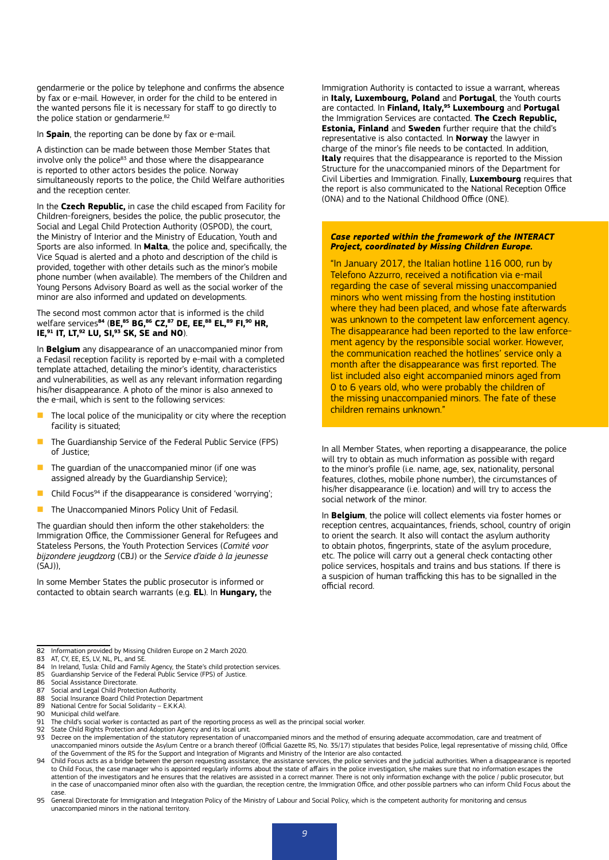gendarmerie or the police by telephone and confirms the absence by fax or e-mail. However, in order for the child to be entered in the wanted persons file it is necessary for staff to go directly to the police station or gendarmerie. $82$ 

In **Spain**, the reporting can be done by fax or e-mail.

A distinction can be made between those Member States that involve only the police $83$  and those where the disappearance is reported to other actors besides the police. Norway simultaneously reports to the police, the Child Welfare authorities and the reception center.

In the **Czech Republic,** in case the child escaped from Facility for Children-foreigners, besides the police, the public prosecutor, the Social and Legal Child Protection Authority (OSPOD), the court, the Ministry of Interior and the Ministry of Education, Youth and Sports are also informed. In **Malta**, the police and, specifically, the Vice Squad is alerted and a photo and description of the child is provided, together with other details such as the minor's mobile phone number (when available). The members of the Children and Young Persons Advisory Board as well as the social worker of the minor are also informed and updated on developments.

The second most common actor that is informed is the child welfare services**84** (**BE,85 BG,86 CZ,87 DE, EE,88 EL,89 FI,90 HR, IE,91 IT, LT,92 LU, SI,93 SK, SE and NO**).

In **Belgium** any disappearance of an unaccompanied minor from a Fedasil reception facility is reported by e-mail with a completed template attached, detailing the minor's identity, characteristics and vulnerabilities, as well as any relevant information regarding his/her disappearance. A photo of the minor is also annexed to the e-mail, which is sent to the following services:

- The local police of the municipality or city where the reception facility is situated;
- The Guardianship Service of the Federal Public Service (FPS) of Justice;
- The guardian of the unaccompanied minor (if one was assigned already by the Guardianship Service);
- Child Focus<sup>94</sup> if the disappearance is considered 'worrying';
- **n** The Unaccompanied Minors Policy Unit of Fedasil.

The guardian should then inform the other stakeholders: the Immigration Office, the Commissioner General for Refugees and Stateless Persons, the Youth Protection Services (*Comité voor bijzondere jeugdzorg* (CBJ) or the *Service d'aide à la jeunesse*  $(SA))$ 

In some Member States the public prosecutor is informed or contacted to obtain search warrants (e.g. **EL**). In **Hungary,** the Immigration Authority is contacted to issue a warrant, whereas in **Italy, Luxembourg, Poland** and **Portugal**, the Youth courts are contacted. In **Finland, Italy,95 Luxembourg** and **Portugal**  the Immigration Services are contacted. **The Czech Republic, Estonia, Finland** and **Sweden** further require that the child's representative is also contacted. In **Norway** the lawyer in charge of the minor's file needs to be contacted. In addition, **Italy** requires that the disappearance is reported to the Mission Structure for the unaccompanied minors of the Department for Civil Liberties and Immigration. Finally, **Luxembourg** requires that the report is also communicated to the National Reception Office (ONA) and to the National Childhood Office (ONE).

#### *Case reported within the framework of the INTERACT Project, coordinated by Missing Children Europe.*

"In January 2017, the Italian hotline 116 000, run by Telefono Azzurro, received a notification via e-mail regarding the case of several missing unaccompanied minors who went missing from the hosting institution where they had been placed, and whose fate afterwards was unknown to the competent law enforcement agency. The disappearance had been reported to the law enforcement agency by the responsible social worker. However, the communication reached the hotlines' service only a month after the disappearance was first reported. The list included also eight accompanied minors aged from 0 to 6 years old, who were probably the children of the missing unaccompanied minors. The fate of these children remains unknown."

In all Member States, when reporting a disappearance, the police will try to obtain as much information as possible with regard to the minor's profile (i.e. name, age, sex, nationality, personal features, clothes, mobile phone number), the circumstances of his/her disappearance (i.e. location) and will try to access the social network of the minor.

In **Belgium**, the police will collect elements via foster homes or reception centres, acquaintances, friends, school, country of origin to orient the search. It also will contact the asylum authority to obtain photos, fingerprints, state of the asylum procedure, etc. The police will carry out a general check contacting other police services, hospitals and trains and bus stations. If there is a suspicion of human trafficking this has to be signalled in the official record.

<sup>82</sup> Information provided by Missing Children Europe on 2 March 2020.<br>83 AT. CY. EE. ES. LV. NL. PL. and SE.

<sup>83</sup> AT, CY, EE, ES, LV, NL, PL, and SE<br>84 In Ireland. Tusla: Child and Fami

<sup>84</sup> In Ireland, Tusla: Child and Family Agency, the State's child protection services.<br>85 Guardianship Service of the Federal Public Service (FPS) of Justice.

<sup>85</sup> Guardianship Service of the Federal Public Service (FPS) of Justice.<br>86 Social Assistance Directorate

<sup>86</sup> Social Assistance Directorate.<br>87 Social and Legal Child Protect

<sup>87</sup> Social and Legal Child Protection Authority.<br>88 Social Insurance Board Child Protection Der

<sup>88</sup> Social Insurance Board Child Protection Department<br>89 National Centre for Social Solidarity – E.K.K.A) 89 National Centre for Social Solidarity – E.K.K.A).<br>90 Municinal child welfare

<sup>90</sup> Municipal child welfare.<br>91 The child's social worke

The child's social worker is contacted as part of the reporting process as well as the principal social worker.

<sup>92</sup> State Child Rights Protection and Adoption Agency and its local unit.<br>93 Decree on the implementation of the statutory representation of unaccompanied minors and the method of ensuring adequate accommodation, care and t unaccompanied minors outside the Asylum Centre or a branch thereof (Official Gazette RS, No. 35/17) stipulates that besides Police, legal representative of missing child, Office of the Government of the RS for the Support and Integration of Migrants and Ministry of the Interior are also contacted.

<sup>94</sup> Child Focus acts as a bridge between the person requesting assistance, the assistance services, the police services and the judicial authorities. When a disappearance is reported<br>to Child Focus, the case manager who is attention of the investigators and he ensures that the relatives are assisted in a correct manner. There is not only information exchange with the police / public prosecutor, but in the case of unaccompanied minor often also with the guardian, the reception centre, the Immigration Office, and other possible partners who can inform Child Focus about the case.

<sup>95</sup> General Directorate for Immigration and Integration Policy of the Ministry of Labour and Social Policy, which is the competent authority for monitoring and census unaccompanied minors in the national territory.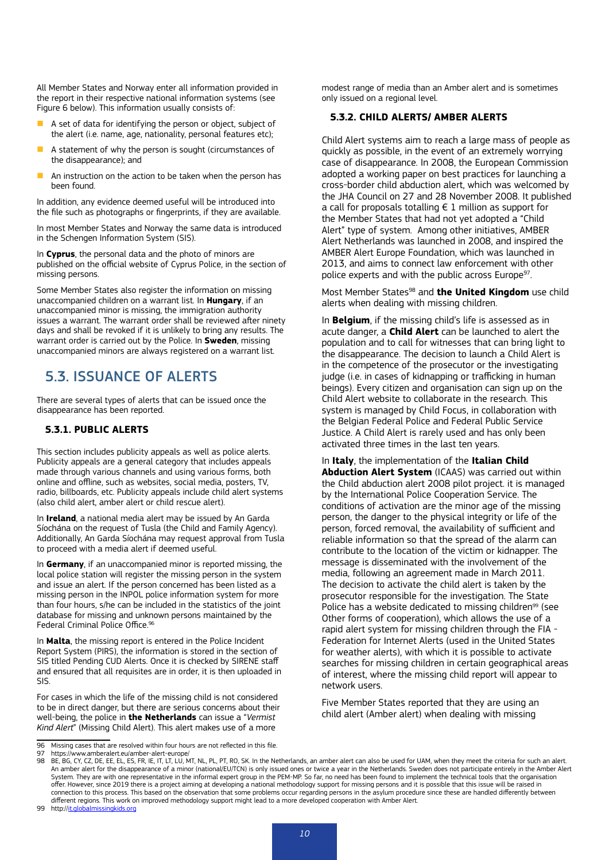All Member States and Norway enter all information provided in the report in their respective national information systems (see Figure 6 below). This information usually consists of:

- A set of data for identifying the person or object, subject of the alert (i.e. name, age, nationality, personal features etc);
- $\blacksquare$  A statement of why the person is sought (circumstances of the disappearance); and
- $\blacksquare$  An instruction on the action to be taken when the person has been found.

In addition, any evidence deemed useful will be introduced into the file such as photographs or fingerprints, if they are available.

In most Member States and Norway the same data is introduced in the Schengen Information System (SIS).

In **Cyprus**, the personal data and the photo of minors are published on the official website of Cyprus Police, in the section of missing persons.

Some Member States also register the information on missing unaccompanied children on a warrant list. In **Hungary**, if an unaccompanied minor is missing, the immigration authority issues a warrant. The warrant order shall be reviewed after ninety days and shall be revoked if it is unlikely to bring any results. The warrant order is carried out by the Police. In **Sweden**, missing unaccompanied minors are always registered on a warrant list.

## 5.3. ISSUANCE OF ALERTS

There are several types of alerts that can be issued once the disappearance has been reported.

#### **5.3.1. PUBLIC ALERTS**

This section includes publicity appeals as well as police alerts. Publicity appeals are a general category that includes appeals made through various channels and using various forms, both online and offline, such as websites, social media, posters, TV, radio, billboards, etc. Publicity appeals include child alert systems (also child alert, amber alert or child rescue alert).

In **Ireland**, a national media alert may be issued by An Garda Síochána on the request of Tusla (the Child and Family Agency). Additionally, An Garda Síochána may request approval from Tusla to proceed with a media alert if deemed useful.

In **Germany**, if an unaccompanied minor is reported missing, the local police station will register the missing person in the system and issue an alert. If the person concerned has been listed as a missing person in the INPOL police information system for more than four hours, s/he can be included in the statistics of the joint database for missing and unknown persons maintained by the Federal Criminal Police Office.<sup>96</sup>

In **Malta**, the missing report is entered in the Police Incident Report System (PIRS), the information is stored in the section of SIS titled Pending CUD Alerts. Once it is checked by SIRENE staff and ensured that all requisites are in order, it is then uploaded in SIS.

For cases in which the life of the missing child is not considered to be in direct danger, but there are serious concerns about their well-being, the police in **the Netherlands** can issue a "*Vermist Kind Alert*" (Missing Child Alert). This alert makes use of a more

modest range of media than an Amber alert and is sometimes only issued on a regional level.

#### **5.3.2. CHILD ALERTS/ AMBER ALERTS**

Child Alert systems aim to reach a large mass of people as quickly as possible, in the event of an extremely worrying case of disappearance. In 2008, the European Commission adopted a working paper on best practices for launching a cross-border child abduction alert, which was welcomed by the JHA Council on 27 and 28 November 2008. It published a call for proposals totalling  $\epsilon$  1 million as support for the Member States that had not yet adopted a "Child Alert" type of system. Among other initiatives, AMBER Alert Netherlands was launched in 2008, and inspired the AMBER Alert Europe Foundation, which was launched in 2013, and aims to connect law enforcement with other police experts and with the public across Europe<sup>97</sup>.

Most Member States98 and **the United Kingdom** use child alerts when dealing with missing children.

In **Belgium**, if the missing child's life is assessed as in acute danger, a **Child Alert** can be launched to alert the population and to call for witnesses that can bring light to the disappearance. The decision to launch a Child Alert is in the competence of the prosecutor or the investigating judge (i.e. in cases of kidnapping or trafficking in human beings). Every citizen and organisation can sign up on the Child Alert website to collaborate in the research. This system is managed by Child Focus, in collaboration with the Belgian Federal Police and Federal Public Service Justice. A Child Alert is rarely used and has only been activated three times in the last ten years.

In **Italy**, the implementation of the **Italian Child Abduction Alert System** (ICAAS) was carried out within the Child abduction alert 2008 pilot project. it is managed by the International Police Cooperation Service. The conditions of activation are the minor age of the missing person, the danger to the physical integrity or life of the person, forced removal, the availability of sufficient and reliable information so that the spread of the alarm can contribute to the location of the victim or kidnapper. The message is disseminated with the involvement of the media, following an agreement made in March 2011. The decision to activate the child alert is taken by the prosecutor responsible for the investigation. The State Police has a website dedicated to missing children<sup>99</sup> (see Other forms of cooperation), which allows the use of a rapid alert system for missing children through the FIA - Federation for Internet Alerts (used in the United States for weather alerts), with which it is possible to activate searches for missing children in certain geographical areas of interest, where the missing child report will appear to network users.

Five Member States reported that they are using an child alert (Amber alert) when dealing with missing

99 <http://it.globalmissingkids.org>

<sup>96</sup> Missing cases that are resolved within four hours are not reflected in this file.<br>97 https://www.amberalert.eu/amber-alert-europe/

<sup>97</sup> <https://www.amberalert.eu/amber-alert-europe/><br>98 BE, BG, CY, CZ, DE, EE, EL, ES, FR, IE, IT, LT, LU, MT, NL, PL, PT, RO, SK. In the Netherlands, an amber alert can also be used for UAM, when they meet the criteria for s An amber alert for the disappearance of a minor (national/EU/TCN) is only issued ones or twice a year in the Netherlands. Sweden does not participate entirely in the Amber Alert System. They are with one representative in the informal expert group in the PEM-MP. So far, no need has been found to implement the technical tools that the organisation offer. However, since 2019 there is a project aiming at developing a national methodology support for missing persons and it is possible that this issue will be raised in connection to this process. This based on the observation that some problems occur regarding persons in the asylum procedure since these are handled differently between<br>different regions. This work on improved methodology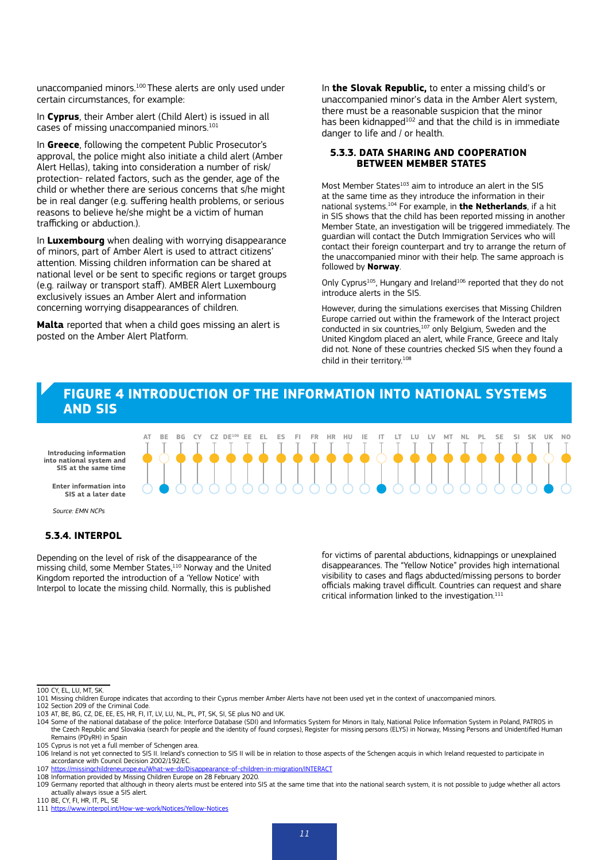unaccompanied minors.100 These alerts are only used under certain circumstances, for example:

In **Cyprus**, their Amber alert (Child Alert) is issued in all cases of missing unaccompanied minors.101

In **Greece**, following the competent Public Prosecutor's approval, the police might also initiate a child alert (Amber Alert Hellas), taking into consideration a number of risk/ protection- related factors, such as the gender, age of the child or whether there are serious concerns that s/he might be in real danger (e.g. suffering health problems, or serious reasons to believe he/she might be a victim of human trafficking or abduction.).

In **Luxembourg** when dealing with worrying disappearance of minors, part of Amber Alert is used to attract citizens' attention. Missing children information can be shared at national level or be sent to specific regions or target groups (e.g. railway or transport staff). AMBER Alert Luxembourg exclusively issues an Amber Alert and information concerning worrying disappearances of children.

**Malta** reported that when a child goes missing an alert is posted on the Amber Alert Platform.

**SE X**

In **the Slovak Republic,** to enter a missing child's or unaccompanied minor's data in the Amber Alert system, there must be a reasonable suspicion that the minor has been kidnapped<sup>102</sup> and that the child is in immediate danger to life and / or health.

#### **5.3.3. DATA SHARING AND COOPERATION BETWEEN MEMBER STATES**

Most Member States<sup>103</sup> aim to introduce an alert in the SIS at the same time as they introduce the information in their national systems.104 For example, in **the Netherlands**, if a hit in SIS shows that the child has been reported missing in another Member State, an investigation will be triggered immediately. The guardian will contact the Dutch Immigration Services who will contact their foreign counterpart and try to arrange the return of the unaccompanied minor with their help. The same approach is followed by **Norway**.

Only Cyprus<sup>105</sup>, Hungary and Ireland<sup>106</sup> reported that they do not introduce alerts in the SIS.

However, during the simulations exercises that Missing Children Europe carried out within the framework of the Interact project conducted in six countries,<sup>107</sup> only Belgium, Sweden and the United Kingdom placed an alert, while France, Greece and Italy did not. None of these countries checked SIS when they found a child in their territory.108

#### **FIGURE 4 INTRODUCTION OF THE INFORMATION INTO NATIONAL SYSTEMS AND SIS**

AT BE BG CY CZ DE<sup>106</sup> EE EL ES FI FR HR HU IE IT LT LU LV MT NL PL SE SI SK UK NO

 $\bullet$   $\bullet$   $\bullet$   $\bullet$   $\bullet$ **UK X Introducing information SIS at the same time**

**Enter information into SIS at a later date**

Source: EMN NCPs

#### **5.3.4. INTERPOL**

Depending on the level of risk of the disappearance of the missing child, some Member States,<sup>110</sup> Norway and the United Kingdom reported the introduction of a 'Yellow Notice' with Interpol to locate the missing child. Normally, this is published

for victims of parental abductions, kidnappings or unexplained disappearances. The "Yellow Notice" provides high international visibility to cases and flags abducted/missing persons to border officials making travel difficult. Countries can request and share critical information linked to the investigation.<sup>111</sup>

<sup>100</sup> CY, EL, LU, MT, SK.

<sup>101</sup> Missing children Europe indicates that according to their Cyprus member Amber Alerts have not been used yet in the context of unaccompanied minors.

<sup>102</sup> Section 209 of the Criminal Code.

<sup>103</sup> AT, BE, BG, CZ, DE, EE, ES, HR, FI, IT, LV, LU, NL, PL, PT, SK, SI, SE plus NO and UK.

<sup>104</sup> Some of the national database of the police: Interforce Database (SDI) and Informatics System for Minors in Italy, National Police Information System in Poland, PATROS in the Czech Republic and Slovakia (search for people and the identity of found corpses), Register for missing persons (ELYS) in Norway, Missing Persons and Unidentified Human Remains (PDyRH) in Spain

<sup>105</sup> Cyprus is not yet a full member of Schengen area.

<sup>106</sup> Ireland is not yet connected to SIS II. Ireland's connection to SIS II will be in relation to those aspects of the Schengen acquis in which Ireland requested to participate in accordance with Council Decision 2002/192/EC.

<sup>107</sup> <https://missingchildreneurope.eu/What-we-do/Disappearance-of-children-in-migration/INTERACT>

<sup>108</sup> Information provided by Missing Children Europe on 28 February 2020.

<sup>109</sup> Germany reported that although in theory alerts must be entered into SIS at the same time that into the national search system, it is not possible to judge whether all actors actually always issue a SIS alert.

<sup>110</sup> BE, CY, FI, HR, IT, PL, SE

<sup>111</sup> <https://www.interpol.int/How-we-work/Notices/Yellow-Notices>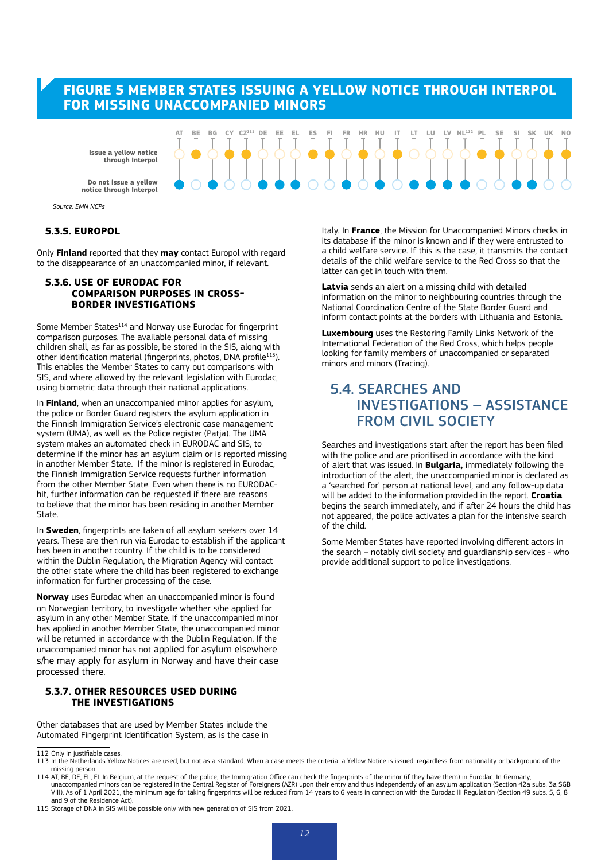#### **FIGURE 5 MEMBER STATES ISSUING A YELLOW NOTICE THROUGH INTERPOL FOR MISSING UNACCOMPANIED MINORS**

**Issue a yellow notice through Interpol**

**notice through Interpol**

**CZ X112 EFSUE a yellow notice**  $\bigcirc$  $\bigcirc$  $\bigcirc$  $\bigcirc$  $\bigcirc$  $\bigcirc$  $\bigcirc$  $\bigcirc$  $\bigcirc$  $\bigcirc$  $\bigcirc$  $\bigcirc$  $\bigcirc$  $\bigcirc$  $\bigcirc$  $\bigcirc$  $\bigcirc$  $\bigcirc$  $\bigcirc$  $\bigcirc$  $\bigcirc$  $\bigcirc$  $\bigcirc$  $\bigcirc$  $\bigcirc$  $\bigcirc$  $\bigcirc$  $\bigcirc$  $\bigcirc$  $\bigcirc$  $\bigcirc$  $\bigcirc$  $\bigcirc$  **ES ANGELER ANGELER ANGEL ANGEL ANGEL ANGEL ANGEL ANGEL ANGEL ANGEL ANGEL ANGEL ANGEL ANGEL ANGEL ANGEL ANGEL ANGE Here** is sue a yellow **ARC COMPOSED BOOM** AT BE BG CY-CZ<sup>111</sup> DE EE EL ES FI FR HR HU IT LT LU LV-NL<sup>112</sup> PL SE SI SK UK-NO

#### *Source: EMN NCPs*

#### **5.3.5. EUROPOL**

Only **Finland** reported that they **may** contact Europol with regard to the disappearance of an unaccompanied minor, if relevant.

#### **5.3.6. USE OF EURODAC FOR COMPARISON PURPOSES IN CROSS-BORDER INVESTIGATIONS**

Some Member States<sup>114</sup> and Norway use Eurodac for fingerprint comparison purposes. The available personal data of missing children shall, as far as possible, be stored in the SIS, along with other identification material (fingerprints, photos, DNA profile<sup>115</sup>). This enables the Member States to carry out comparisons with SIS, and where allowed by the relevant legislation with Eurodac, using biometric data through their national applications.

In **Finland**, when an unaccompanied minor applies for asylum, the police or Border Guard registers the asylum application in the Finnish Immigration Service's electronic case management system (UMA), as well as the Police register (Patia). The UMA system makes an automated check in EURODAC and SIS, to determine if the minor has an asylum claim or is reported missing in another Member State. If the minor is registered in Eurodac, the Finnish Immigration Service requests further information from the other Member State. Even when there is no EURODAChit, further information can be requested if there are reasons to believe that the minor has been residing in another Member State.

In **Sweden**, fingerprints are taken of all asylum seekers over 14 years. These are then run via Eurodac to establish if the applicant has been in another country. If the child is to be considered within the Dublin Regulation, the Migration Agency will contact the other state where the child has been registered to exchange information for further processing of the case.

**Norway** uses Eurodac when an unaccompanied minor is found on Norwegian territory, to investigate whether s/he applied for asylum in any other Member State. If the unaccompanied minor has applied in another Member State, the unaccompanied minor will be returned in accordance with the Dublin Regulation. If the unaccompanied minor has not applied for asylum elsewhere s/he may apply for asylum in Norway and have their case processed there.

#### **5.3.7. OTHER RESOURCES USED DURING THE INVESTIGATIONS**

Other databases that are used by Member States include the Automated Fingerprint Identification System, as is the case in

115 Storage of DNA in SIS will be possible only with new generation of SIS from 2021.

Italy. In **France**, the Mission for Unaccompanied Minors checks in its database if the minor is known and if they were entrusted to a child welfare service. If this is the case, it transmits the contact details of the child welfare service to the Red Cross so that the latter can get in touch with them.

**Latvia** sends an alert on a missing child with detailed information on the minor to neighbouring countries through the National Coordination Centre of the State Border Guard and inform contact points at the borders with Lithuania and Estonia.

**Luxembourg** uses the Restoring Family Links Network of the International Federation of the Red Cross, which helps people looking for family members of unaccompanied or separated minors and minors (Tracing).

### 5.4. SEARCHES AND INVESTIGATIONS – ASSISTANCE FROM CIVIL SOCIETY

Searches and investigations start after the report has been filed with the police and are prioritised in accordance with the kind of alert that was issued. In **Bulgaria,** immediately following the introduction of the alert, the unaccompanied minor is declared as a 'searched for' person at national level, and any follow-up data will be added to the information provided in the report. **Croatia** begins the search immediately, and if after 24 hours the child has not appeared, the police activates a plan for the intensive search of the child.

Some Member States have reported involving different actors in the search – notably civil society and guardianship services - who provide additional support to police investigations.

<sup>112</sup> Only in justifiable cases.

<sup>113</sup> In the Netherlands Yellow Notices are used, but not as a standard. When a case meets the criteria, a Yellow Notice is issued, regardless from nationality or background of the missing person. 114 AT, BE, DE, EL, FI. In Belgium, at the request of the police, the Immigration Office can check the fingerprints of the minor (if they have them) in Eurodac. In Germany,

unaccompanied minors can be registered in the Central Register of Foreigners (AZR) upon their entry and thus independently of an asylum application (Section 42a subs. 3a SGB<br>VIII). As of 1 April 2021, the minimum age for t and 9 of the Residence Act).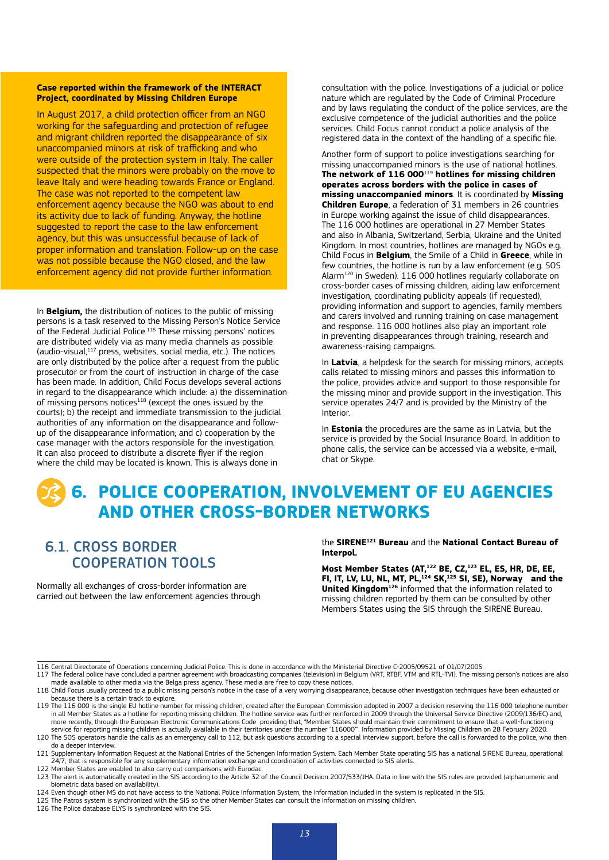#### **Case reported within the framework of the INTERACT Project, coordinated by Missing Children Europe**

In August 2017, a child protection officer from an NGO working for the safeguarding and protection of refugee and migrant children reported the disappearance of six unaccompanied minors at risk of trafficking and who were outside of the protection system in Italy. The caller suspected that the minors were probably on the move to leave Italy and were heading towards France or England. The case was not reported to the competent law enforcement agency because the NGO was about to end its activity due to lack of funding. Anyway, the hotline suggested to report the case to the law enforcement agency, but this was unsuccessful because of lack of proper information and translation. Follow-up on the case was not possible because the NGO closed, and the law enforcement agency did not provide further information.

In **Belgium,** the distribution of notices to the public of missing persons is a task reserved to the Missing Person's Notice Service of the Federal Judicial Police.116 These missing persons' notices are distributed widely via as many media channels as possible (audio-visual, $117$  press, websites, social media, etc.). The notices are only distributed by the police after a request from the public prosecutor or from the court of instruction in charge of the case has been made. In addition, Child Focus develops several actions in regard to the disappearance which include: a) the dissemination of missing persons notices<sup>118</sup> (except the ones issued by the courts); b) the receipt and immediate transmission to the judicial authorities of any information on the disappearance and followup of the disappearance information; and c) cooperation by the case manager with the actors responsible for the investigation. It can also proceed to distribute a discrete flyer if the region where the child may be located is known. This is always done in

consultation with the police. Investigations of a judicial or police nature which are regulated by the Code of Criminal Procedure and by laws regulating the conduct of the police services, are the exclusive competence of the judicial authorities and the police services. Child Focus cannot conduct a police analysis of the registered data in the context of the handling of a specific file.

Another form of support to police investigations searching for missing unaccompanied minors is the use of national hotlines. **The network of 116 000**<sup>119</sup> **hotlines for missing children operates across borders with the police in cases of missing unaccompanied minors**. It is coordinated by **Missing Children Europe**, a federation of 31 members in 26 countries in Europe working against the issue of child disappearances. The 116 000 hotlines are operational in 27 Member States and also in Albania, Switzerland, Serbia, Ukraine and the United Kingdom. In most countries, hotlines are managed by NGOs e.g. Child Focus in **Belgium**, the Smile of a Child in **Greece**, while in few countries, the hotline is run by a law enforcement (e.g. SOS Alarm120 in Sweden). 116 000 hotlines regularly collaborate on cross-border cases of missing children, aiding law enforcement investigation, coordinating publicity appeals (if requested), providing information and support to agencies, family members and carers involved and running training on case management and response. 116 000 hotlines also play an important role in preventing disappearances through training, research and awareness-raising campaigns.

In **Latvia**, a helpdesk for the search for missing minors, accepts calls related to missing minors and passes this information to the police, provides advice and support to those responsible for the missing minor and provide support in the investigation. This service operates 24/7 and is provided by the Ministry of the Interior.

In **Estonia** the procedures are the same as in Latvia, but the service is provided by the Social Insurance Board. In addition to phone calls, the service can be accessed via a website, e-mail, chat or Skype.

## **6. POLICE COOPERATION, INVOLVEMENT OF EU AGENCIES AND OTHER CROSS-BORDER NETWORKS**

## 6.1. CROSS BORDER COOPERATION TOOLS

Normally all exchanges of cross-border information are carried out between the law enforcement agencies through the **SIRENE121 Bureau** and the **National Contact Bureau of Interpol.**

**Most Member States (AT,122 BE, CZ,123 EL, ES, HR, DE, EE, FI, IT, LV, LU, NL, MT, PL,124 SK,125 SI, SE), Norway and the United Kingdom126** informed that the information related to missing children reported by them can be consulted by other Members States using the SIS through the SIRENE Bureau.

<sup>116</sup> Central Directorate of Operations concerning Judicial Police. This is done in accordance with the Ministerial Directive C-2005/09521 of 01/07/2005.

<sup>117</sup> The federal police have concluded a partner agreement with broadcasting companies (television) in Belgium (VRT, RTBF, VTM and RTL-TVI). The missing person's notices are also made available to other media via the Belga press agency. These media are free to copy these notices.

<sup>118</sup> Child Focus usually proceed to a public missing person's notice in the case of a very worrying disappearance, because other investigation techniques have been exhausted or because there is a certain track to explore.

<sup>119</sup> The 116 000 is the single EU hotline number for missing children, created after the European Commission adopted in 2007 a decision reserving the 116 000 telephone number in all Member States as a hotline for reporting missing children. The hotline service was further reinforced in 2009 through the Universal Service Directive (2009/136/EC) and, more recently, through the European Electronic Communications Code providing that, "Member States should maintain their commitment to ensure that a well-functioning service for reporting missing children is actually available in their territories under the number '116000'". Information provided by Missing Children on 28 February 2020. 120 The SOS operators handle the calls as an emergency call to 112 but ask questions according to a special interview support, before the call is forwarded to the police, who then

do a deeper interview. 121 Supplementary Information Request at the National Entries of the Schengen Information System. Each Member State operating SIS has a national SIRENE Bureau, operational

<sup>24/7,</sup> that is responsible for any supplementary information exchange and coordination of activities connected to SIS alerts. 122 Member States are enabled to also carry out comparisons with Eurodac.

<sup>123</sup> The alert is automatically created in the SIS according to the Article 32 of the Council Decision 2007/533/JHA. Data in line with the SIS rules are provided (alphanumeric and biometric data based on availability).

<sup>124</sup> Even though other MS do not have access to the National Police Information System, the information included in the system is replicated in the SIS.<br>125 The Patros system is synchronized with the SIS so the other Member

<sup>126</sup> The Police database ELYS is synchronized with the SIS.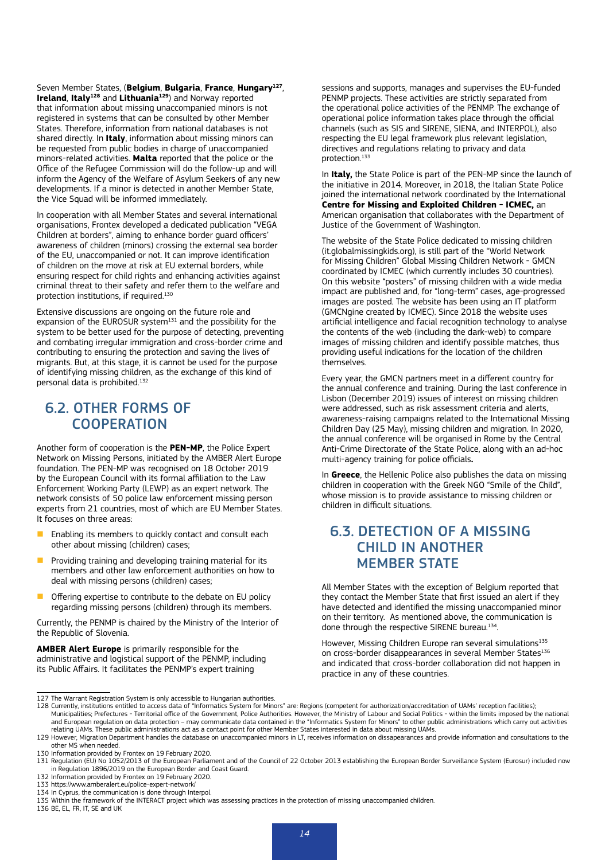Seven Member States, (**Belgium**, **Bulgaria**, **France**, **Hungary127**, **Ireland**, **Italy128** and **Lithuania129**) and Norway reported that information about missing unaccompanied minors is not registered in systems that can be consulted by other Member States. Therefore, information from national databases is not shared directly. In **Italy**, information about missing minors can be requested from public bodies in charge of unaccompanied minors-related activities. **Malta** reported that the police or the Office of the Refugee Commission will do the follow-up and will inform the Agency of the Welfare of Asylum Seekers of any new developments. If a minor is detected in another Member State, the Vice Squad will be informed immediately.

In cooperation with all Member States and several international organisations, Frontex developed a dedicated publication "VEGA Children at borders", aiming to enhance border guard officers' awareness of children (minors) crossing the external sea border of the EU, unaccompanied or not. It can improve identification of children on the move at risk at EU external borders, while ensuring respect for child rights and enhancing activities against criminal threat to their safety and refer them to the welfare and protection institutions, if required.130

Extensive discussions are ongoing on the future role and expansion of the EUROSUR system $131$  and the possibility for the system to be better used for the purpose of detecting, preventing and combating irregular immigration and cross-border crime and contributing to ensuring the protection and saving the lives of migrants. But, at this stage, it is cannot be used for the purpose of identifying missing children, as the exchange of this kind of personal data is prohibited.132

## 6.2. OTHER FORMS OF **COOPERATION**

Another form of cooperation is the **PEN-MP**, the Police Expert Network on Missing Persons, initiated by the AMBER Alert Europe foundation. The PEN-MP was recognised on 18 October 2019 by the European Council with its formal affiliation to the Law Enforcement Working Party (LEWP) as an expert network. The network consists of 50 police law enforcement missing person experts from 21 countries, most of which are EU Member States. It focuses on three areas:

- Enabling its members to quickly contact and consult each other about missing (children) cases;
- Providing training and developing training material for its members and other law enforcement authorities on how to deal with missing persons (children) cases;
- $\blacksquare$  Offering expertise to contribute to the debate on EU policy regarding missing persons (children) through its members.

Currently, the PENMP is chaired by the Ministry of the Interior of the Republic of Slovenia.

**AMBER Alert Europe** is primarily responsible for the administrative and logistical support of the PENMP, including its Public Affairs. It facilitates the PENMP's expert training

sessions and supports, manages and supervises the EU-funded PENMP projects. These activities are strictly separated from the operational police activities of the PENMP. The exchange of operational police information takes place through the official channels (such as SIS and SIRENE, SIENA, and INTERPOL), also respecting the EU legal framework plus relevant legislation, directives and regulations relating to privacy and data protection.133

In **Italy,** the State Police is part of the PEN-MP since the launch of the initiative in 2014. Moreover, in 2018, the Italian State Police joined the international network coordinated by the International **Centre for Missing and Exploited Children - ICMEC,** an American organisation that collaborates with the Department of Justice of the Government of Washington.

The website of the State Police dedicated to missing children (it.globalmissingkids.org), is still part of the "World Network for Missing Children" Global Missing Children Network - GMCN coordinated by ICMEC (which currently includes 30 countries). On this website "posters" of missing children with a wide media impact are published and, for "long-term" cases, age-progressed images are posted. The website has been using an IT platform (GMCNgine created by ICMEC). Since 2018 the website uses artificial intelligence and facial recognition technology to analyse the contents of the web (including the dark-web) to compare images of missing children and identify possible matches, thus providing useful indications for the location of the children themselves.

Every year, the GMCN partners meet in a different country for the annual conference and training. During the last conference in Lisbon (December 2019) issues of interest on missing children were addressed, such as risk assessment criteria and alerts, awareness-raising campaigns related to the International Missing Children Day (25 May), missing children and migration. In 2020, the annual conference will be organised in Rome by the Central Anti-Crime Directorate of the State Police, along with an ad-hoc multi-agency training for police officials**.** 

In **Greece**, the Hellenic Police also publishes the data on missing children in cooperation with the Greek NGO "Smile of the Child", whose mission is to provide assistance to missing children or children in difficult situations.

## 6.3. DETECTION OF A MISSING CHILD IN ANOTHER MEMBER STATE

All Member States with the exception of Belgium reported that they contact the Member State that first issued an alert if they have detected and identified the missing unaccompanied minor on their territory. As mentioned above, the communication is done through the respective SIRENE bureau.<sup>134</sup>.

However, Missing Children Europe ran several simulations<sup>135</sup> on cross-border disappearances in several Member States<sup>136</sup> and indicated that cross-border collaboration did not happen in practice in any of these countries.

<sup>127</sup> The Warrant Registration System is only accessible to Hungarian authorities.

<sup>128</sup> Currently, institutions entitled to access data of "Informatics System for Minors" are: Regions (competent for authorization/accreditation of UAMs' reception facilities); Municipalities; Prefectures - Territorial office of the Government, Police Authorities. However, the Ministry of Labour and Social Politics - within the limits imposed by the national and European regulation on data protection – may communicate data contained in the "Informatics System for Minors" to other public administrations which carry out activities

relating UAMs. These public administrations act as a contact point for other Member States interested in data about missing UAMs. 129 However, Migration Department handles the database on unaccompanied minors in LT, receives information on dissapearances and provide information and consultations to the

other MS when needed.

<sup>130</sup> Information provided by Frontex on 19 February 2020.

<sup>131</sup> Regulation (EU) No 1052/2013 of the European Parliament and of the Council of 22 October 2013 establishing the European Border Surveillance System (Eurosur) included now in Regulation 1896/2019 on the European Border and Coast Guard.

<sup>132</sup> Information provided by Frontex on 19 February 2020.

<sup>133</sup> https://www.amberalert.eu/police-expert-network/

<sup>134</sup> In Cyprus, the communication is done through Interpol.

<sup>135</sup> Within the framework of the INTERACT project which was assessing practices in the protection of missing unaccompanied children.

<sup>136</sup> BE, EL, FR, IT, SE and UK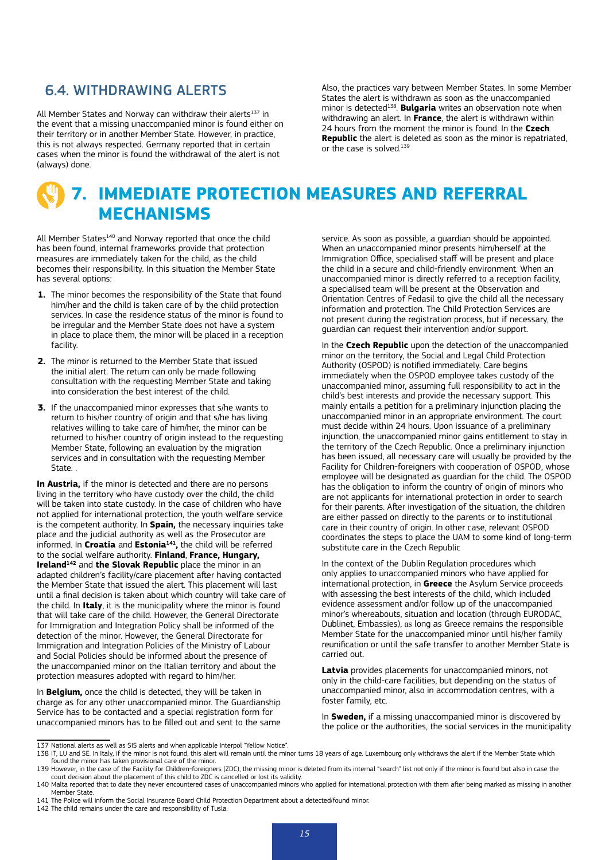#### 6.4. WITHDRAWING ALERTS

All Member States and Norway can withdraw their alerts $137$  in the event that a missing unaccompanied minor is found either on their territory or in another Member State. However, in practice, this is not always respected. Germany reported that in certain cases when the minor is found the withdrawal of the alert is not (always) done.

Also, the practices vary between Member States. In some Member States the alert is withdrawn as soon as the unaccompanied minor is detected<sup>138</sup>. **Bulgaria** writes an observation note when withdrawing an alert. In **France**, the alert is withdrawn within 24 hours from the moment the minor is found. In the **Czech Republic** the alert is deleted as soon as the minor is repatriated, or the case is solved.<sup>139</sup>

## **7. IMMEDIATE PROTECTION MEASURES AND REFERRAL MECHANISMS**

All Member States<sup>140</sup> and Norway reported that once the child has been found, internal frameworks provide that protection measures are immediately taken for the child, as the child becomes their responsibility. In this situation the Member State has several options:

- **1.** The minor becomes the responsibility of the State that found him/her and the child is taken care of by the child protection services. In case the residence status of the minor is found to be irregular and the Member State does not have a system in place to place them, the minor will be placed in a reception facility.
- **2.** The minor is returned to the Member State that issued the initial alert. The return can only be made following consultation with the requesting Member State and taking into consideration the best interest of the child.
- **3.** If the unaccompanied minor expresses that s/he wants to return to his/her country of origin and that s/he has living relatives willing to take care of him/her, the minor can be returned to his/her country of origin instead to the requesting Member State, following an evaluation by the migration services and in consultation with the requesting Member State. .

**In Austria,** if the minor is detected and there are no persons living in the territory who have custody over the child, the child will be taken into state custody. In the case of children who have not applied for international protection, the youth welfare service is the competent authority. In **Spain,** the necessary inquiries take place and the judicial authority as well as the Prosecutor are informed. In **Croatia** and **Estonia141,** the child will be referred to the social welfare authority. **Finland**, **France, Hungary, Ireland<sup>142</sup>** and the Slovak Republic place the minor in an adapted children's facility/care placement after having contacted the Member State that issued the alert. This placement will last until a final decision is taken about which country will take care of the child. In **Italy**, it is the municipality where the minor is found that will take care of the child. However, the General Directorate for Immigration and Integration Policy shall be informed of the detection of the minor. However, the General Directorate for Immigration and Integration Policies of the Ministry of Labour and Social Policies should be informed about the presence of the unaccompanied minor on the Italian territory and about the protection measures adopted with regard to him/her.

In **Belgium,** once the child is detected, they will be taken in charge as for any other unaccompanied minor. The Guardianship Service has to be contacted and a special registration form for unaccompanied minors has to be filled out and sent to the same service. As soon as possible, a guardian should be appointed. When an unaccompanied minor presents him/herself at the Immigration Office, specialised staff will be present and place the child in a secure and child-friendly environment. When an unaccompanied minor is directly referred to a reception facility, a specialised team will be present at the Observation and Orientation Centres of Fedasil to give the child all the necessary information and protection. The Child Protection Services are not present during the registration process, but if necessary, the guardian can request their intervention and/or support.

In the **Czech Republic** upon the detection of the unaccompanied minor on the territory, the Social and Legal Child Protection Authority (OSPOD) is notified immediately. Care begins immediately when the OSPOD employee takes custody of the unaccompanied minor, assuming full responsibility to act in the child's best interests and provide the necessary support. This mainly entails a petition for a preliminary injunction placing the unaccompanied minor in an appropriate environment. The court must decide within 24 hours. Upon issuance of a preliminary injunction, the unaccompanied minor gains entitlement to stay in the territory of the Czech Republic. Once a preliminary injunction has been issued, all necessary care will usually be provided by the Facility for Children-foreigners with cooperation of OSPOD, whose employee will be designated as guardian for the child. The OSPOD has the obligation to inform the country of origin of minors who are not applicants for international protection in order to search for their parents. After investigation of the situation, the children are either passed on directly to the parents or to institutional care in their country of origin. In other case, relevant OSPOD coordinates the steps to place the UAM to some kind of long-term substitute care in the Czech Republic

In the context of the Dublin Regulation procedures which only applies to unaccompanied minors who have applied for international protection, in **Greece** the Asylum Service proceeds with assessing the best interests of the child, which included evidence assessment and/or follow up of the unaccompanied minor's whereabouts, situation and location (through EURODAC, Dublinet, Embassies), as long as Greece remains the responsible Member State for the unaccompanied minor until his/her family reunification or until the safe transfer to another Member State is carried out.

**Latvia** provides placements for unaccompanied minors, not only in the child-care facilities, but depending on the status of unaccompanied minor, also in accommodation centres, with a foster family, etc.

In **Sweden,** if a missing unaccompanied minor is discovered by the police or the authorities, the social services in the municipality

<sup>137</sup> National alerts as well as SIS alerts and when applicable Interpol "Yellow Notice".

<sup>138</sup> IT, LU and SE. In Italy, if the minor is not found, this alert will remain until the minor turns 18 years of age. Luxembourg only withdraws the alert if the Member State which found the minor has taken provisional care of the minor.

<sup>139</sup> However, in the case of the Facility for Children-foreigners (ZDC), the missing minor is deleted from its internal "search" list not only if the minor is found but also in case the court decision about the placement of this child to ZDC is cancelled or lost its validity.

<sup>140</sup> Malta reported that to date they never encountered cases of unaccompanied minors who applied for international protection with them after being marked as missing in another Member State.

<sup>141</sup> The Police will inform the Social Insurance Board Child Protection Department about a detected/found minor.

<sup>142</sup> The child remains under the care and responsibility of Tusla.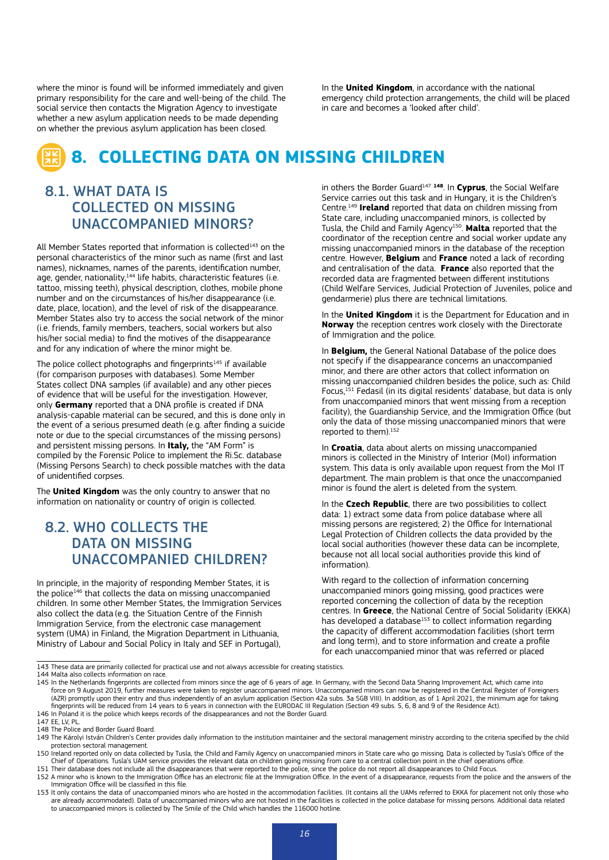where the minor is found will be informed immediately and given primary responsibility for the care and well-being of the child. The social service then contacts the Migration Agency to investigate whether a new asylum application needs to be made depending on whether the previous asylum application has been closed.

In the **United Kingdom**, in accordance with the national emergency child protection arrangements, the child will be placed in care and becomes a 'looked after child'.

## **8. COLLECTING DATA ON MISSING CHILDREN**

## 8.1. WHAT DATA IS COLLECTED ON MISSING UNACCOMPANIED MINORS?

All Member States reported that information is collected<sup>143</sup> on the personal characteristics of the minor such as name (first and last names), nicknames, names of the parents, identification number, age, gender, nationality,<sup>144</sup> life habits, characteristic features (i.e. tattoo, missing teeth), physical description, clothes, mobile phone number and on the circumstances of his/her disappearance (i.e. date, place, location), and the level of risk of the disappearance. Member States also try to access the social network of the minor (i.e. friends, family members, teachers, social workers but also his/her social media) to find the motives of the disappearance and for any indication of where the minor might be.

The police collect photographs and fingerprints<sup>145</sup> if available (for comparison purposes with databases). Some Member States collect DNA samples (if available) and any other pieces of evidence that will be useful for the investigation. However, only **Germany** reported that a DNA profile is created if DNA analysis-capable material can be secured, and this is done only in the event of a serious presumed death (e.g. after finding a suicide note or due to the special circumstances of the missing persons) and persistent missing persons. In **Italy,** the "AM Form" is compiled by the Forensic Police to implement the Ri.Sc. database (Missing Persons Search) to check possible matches with the data of unidentified corpses.

The **United Kingdom** was the only country to answer that no information on nationality or country of origin is collected.

## 8.2. WHO COLLECTS THE DATA ON MISSING UNACCOMPANIED CHILDREN?

In principle, in the majority of responding Member States, it is the police<sup>146</sup> that collects the data on missing unaccompanied children. In some other Member States, the Immigration Services also collect the data (e.g. the Situation Centre of the Finnish Immigration Service, from the electronic case management system (UMA) in Finland, the Migration Department in Lithuania, Ministry of Labour and Social Policy in Italy and SEF in Portugal),

in others the Border Guard147 **<sup>148</sup>**. In **Cyprus**, the Social Welfare Service carries out this task and in Hungary, it is the Children's Centre.149 **Ireland** reported that data on children missing from State care, including unaccompanied minors, is collected by Tusla, the Child and Family Agency150. **Malta** reported that the coordinator of the reception centre and social worker update any missing unaccompanied minors in the database of the reception centre. However, **Belgium** and **France** noted a lack of recording and centralisation of the data. **France** also reported that the recorded data are fragmented between different institutions (Child Welfare Services, Judicial Protection of Juveniles, police and gendarmerie) plus there are technical limitations.

In the **United Kingdom** it is the Department for Education and in **Norway** the reception centres work closely with the Directorate of Immigration and the police.

In **Belgium,** the General National Database of the police does not specify if the disappearance concerns an unaccompanied minor, and there are other actors that collect information on missing unaccompanied children besides the police, such as: Child Focus,<sup>151</sup> Fedasil (in its digital residents' database, but data is only from unaccompanied minors that went missing from a reception facility), the Guardianship Service, and the Immigration Office (but only the data of those missing unaccompanied minors that were reported to them).<sup>152</sup>

In **Croatia**, data about alerts on missing unaccompanied minors is collected in the Ministry of Interior (MoI) information system. This data is only available upon request from the MoI IT department. The main problem is that once the unaccompanied minor is found the alert is deleted from the system.

In the **Czech Republic**, there are two possibilities to collect data: 1) extract some data from police database where all missing persons are registered; 2) the Office for International Legal Protection of Children collects the data provided by the local social authorities (however these data can be incomplete, because not all local social authorities provide this kind of information).

With regard to the collection of information concerning unaccompanied minors going missing, good practices were reported concerning the collection of data by the reception centres. In **Greece**, the National Centre of Social Solidarity (EKKA) has developed a database<sup>153</sup> to collect information regarding the capacity of different accommodation facilities (short term and long term), and to store information and create a profile for each unaccompanied minor that was referred or placed

<sup>143</sup> These data are primarily collected for practical use and not always accessible for creating statistics.

<sup>144</sup> Malta also collects information on race.

<sup>145</sup> In the Netherlands fingerprints are collected from minors since the age of 6 years of age. In Germany, with the Second Data Sharing Improvement Act, which came into force on 9 August 2019, further measures were taken to register unaccompanied minors. Unaccompanied minors can now be registered in the Central Register of Foreigners (AZR) promptly upon their entry and thus independently of an asylum application (Section 42a subs. 3a SGB VIII). In addition, as of 1 April 2021, the minimum age for taking fingerprints will be reduced from 14 years to 6 years in connection with the EURODAC III Regulation (Section 49 subs. 5, 6, 8 and 9 of the Residence Act). 146 In Poland it is the police which keeps records of the disappearances and not the Border Guard.

<sup>147</sup> EE, LV, PL.

<sup>148</sup> The Police and Border Guard Board

<sup>149</sup> The Károlyi István Children's Center provides daily information to the institution maintainer and the sectoral management ministry according to the criteria specified by the child protection sectoral management.

<sup>150</sup> Ireland reported only on data collected by Tusla, the Child and Family Agency on unaccompanied minors in State care who go missing. Data is collected by Tusla's Office of the Chief of Operations. Tusla's UAM service provides the relevant data on children going missing from care to a central collection point in the chief operations office.<br>151 Their database does not include all the disappearanc

<sup>152</sup> A minor who is known to the Immigration Office has an electronic file at the Immigration Office. In the event of a disappearance, requests from the police and the answers of the Immigration Office will be classified in this file.

<sup>153</sup> It only contains the data of unaccompanied minors who are hosted in the accommodation facilities. (It contains all the UAMs referred to EKKA for placement not only those who are already accommodated). Data of unaccompanied minors who are not hosted in the facilities is collected in the police database for missing persons. Additional data related are already accommodated). Data of unaccompanied to unaccompanied minors is collected by The Smile of the Child which handles the 116000 hotline.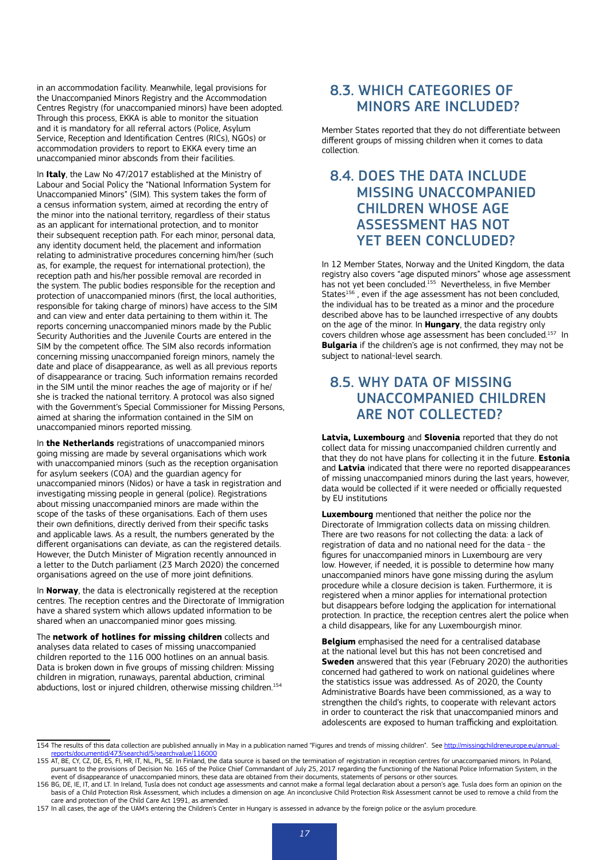in an accommodation facility. Meanwhile, legal provisions for the Unaccompanied Minors Registry and the Accommodation Centres Registry (for unaccompanied minors) have been adopted. Through this process, EKKA is able to monitor the situation and it is mandatory for all referral actors (Police, Asylum Service, Reception and Identification Centres (RICs), NGOs) or accommodation providers to report to EKKA every time an unaccompanied minor absconds from their facilities.

In **Italy**, the Law No 47/2017 established at the Ministry of Labour and Social Policy the "National Information System for Unaccompanied Minors" (SIM). This system takes the form of a census information system, aimed at recording the entry of the minor into the national territory, regardless of their status as an applicant for international protection, and to monitor their subsequent reception path. For each minor, personal data, any identity document held, the placement and information relating to administrative procedures concerning him/her (such as, for example, the request for international protection), the reception path and his/her possible removal are recorded in the system. The public bodies responsible for the reception and protection of unaccompanied minors (first, the local authorities, responsible for taking charge of minors) have access to the SIM and can view and enter data pertaining to them within it. The reports concerning unaccompanied minors made by the Public Security Authorities and the Juvenile Courts are entered in the SIM by the competent office. The SIM also records information concerning missing unaccompanied foreign minors, namely the date and place of disappearance, as well as all previous reports of disappearance or tracing. Such information remains recorded in the SIM until the minor reaches the age of majority or if he/ she is tracked the national territory. A protocol was also signed with the Government's Special Commissioner for Missing Persons, aimed at sharing the information contained in the SIM on unaccompanied minors reported missing.

In **the Netherlands** registrations of unaccompanied minors going missing are made by several organisations which work with unaccompanied minors (such as the reception organisation for asylum seekers (COA) and the guardian agency for unaccompanied minors (Nidos) or have a task in registration and investigating missing people in general (police). Registrations about missing unaccompanied minors are made within the scope of the tasks of these organisations. Each of them uses their own definitions, directly derived from their specific tasks and applicable laws. As a result, the numbers generated by the different organisations can deviate, as can the registered details. However, the Dutch Minister of Migration recently announced in a letter to the Dutch parliament (23 March 2020) the concerned organisations agreed on the use of more joint definitions.

In **Norway**, the data is electronically registered at the reception centres. The reception centres and the Directorate of Immigration have a shared system which allows updated information to be shared when an unaccompanied minor goes missing.

The **network of hotlines for missing children** collects and analyses data related to cases of missing unaccompanied children reported to the 116 000 hotlines on an annual basis. Data is broken down in five groups of missing children: Missing children in migration, runaways, parental abduction, criminal abductions, lost or injured children, otherwise missing children.<sup>154</sup>

## 8.3. WHICH CATEGORIES OF MINORS ARE INCLUDED?

Member States reported that they do not differentiate between different groups of missing children when it comes to data collection.

## 8.4. DOES THE DATA INCLUDE MISSING UNACCOMPANIED CHILDREN WHOSE AGE ASSESSMENT HAS NOT YET BEEN CONCLUDED?

In 12 Member States, Norway and the United Kingdom, the data registry also covers "age disputed minors" whose age assessment has not yet been concluded.155 Nevertheless, in five Member States<sup>156</sup>, even if the age assessment has not been concluded, the individual has to be treated as a minor and the procedure described above has to be launched irrespective of any doubts on the age of the minor. In **Hungary**, the data registry only covers children whose age assessment has been concluded.157 In **Bulgaria** if the children's age is not confirmed, they may not be subject to national-level search.

### 8.5. WHY DATA OF MISSING UNACCOMPANIED CHILDREN ARE NOT COLLECTED?

**Latvia, Luxembourg** and **Slovenia** reported that they do not collect data for missing unaccompanied children currently and that they do not have plans for collecting it in the future. **Estonia**  and **Latvia** indicated that there were no reported disappearances of missing unaccompanied minors during the last years, however, data would be collected if it were needed or officially requested by EU institutions

**Luxembourg** mentioned that neither the police nor the Directorate of Immigration collects data on missing children. There are two reasons for not collecting the data: a lack of registration of data and no national need for the data - the figures for unaccompanied minors in Luxembourg are very low. However, if needed, it is possible to determine how many unaccompanied minors have gone missing during the asylum procedure while a closure decision is taken. Furthermore, it is registered when a minor applies for international protection but disappears before lodging the application for international protection. In practice, the reception centres alert the police when a child disappears, like for any Luxembourgish minor.

**Belgium** emphasised the need for a centralised database at the national level but this has not been concretised and **Sweden** answered that this year (February 2020) the authorities concerned had gathered to work on national guidelines where the statistics issue was addressed. As of 2020, the County Administrative Boards have been commissioned, as a way to strengthen the child's rights, to cooperate with relevant actors in order to counteract the risk that unaccompanied minors and adolescents are exposed to human trafficking and exploitation.

<sup>154</sup> The results of this data collection are published annually in May in a publication named "Figures and trends of missing children". See http://missingchildreneuro [reports/documentid/473/searchid/5/searchvalue/116000](http://missingchildreneurope.eu/annual-reports/documentid/473/searchid/5/searchvalue/116000)<br>155 AT, BE, CY, CZ, DE, ES, FI, HR, IT, NL, PL, SE. In Finland, the data source is based on the termination of registration in reception centres for unaccompanied minors

pursuant to the provisions of Decision No. 165 of the Police Chief Commandant of July 25, 2017 regarding the functioning of the National Police Information System, in the event of disappearance of unaccompanied minors, these data are obtained from their documents, statements of persons or other sources.

<sup>156</sup> BG, DE, IE, IT, and LT. In Ireland, Tusla does not conduct age assessments and cannot make a formal legal declaration about a person's age. Tusla does form an opinion on the basis of a Child Protection Risk Assessment, which includes a dimension on age. An inconclusive Child Protection Risk Assessment cannot be used to remove a child from the care and protection of the Child Care Act 1991, as amended.

<sup>157</sup> In all cases, the age of the UAM's entering the Children's Center in Hungary is assessed in advance by the foreign police or the asylum procedure.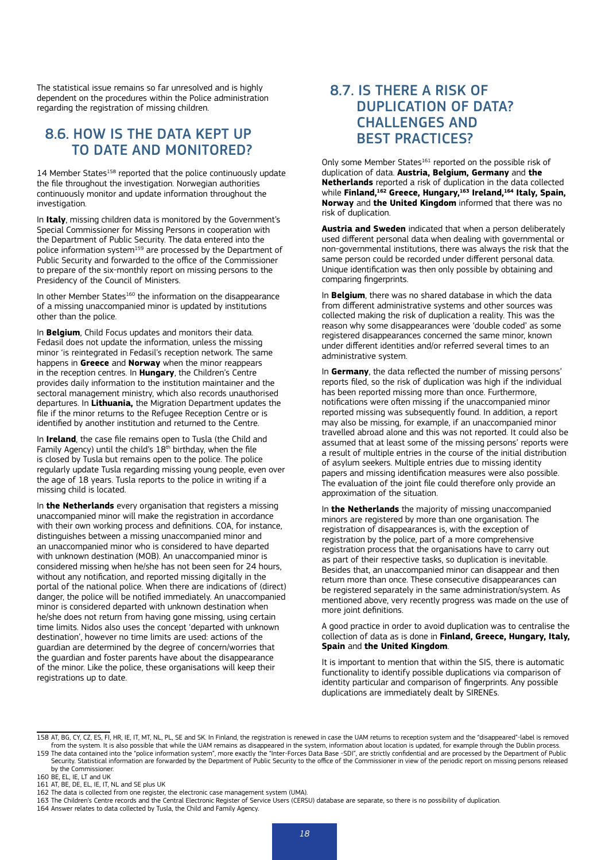The statistical issue remains so far unresolved and is highly dependent on the procedures within the Police administration regarding the registration of missing children.

### 8.6. HOW IS THE DATA KEPT UP TO DATE AND MONITORED?

14 Member States<sup>158</sup> reported that the police continuously update the file throughout the investigation. Norwegian authorities continuously monitor and update information throughout the investigation.

In **Italy**, missing children data is monitored by the Government's Special Commissioner for Missing Persons in cooperation with the Department of Public Security. The data entered into the police information system<sup>159</sup> are processed by the Department of Public Security and forwarded to the office of the Commissioner to prepare of the six-monthly report on missing persons to the Presidency of the Council of Ministers.

In other Member States<sup>160</sup> the information on the disappearance of a missing unaccompanied minor is updated by institutions other than the police.

In **Belgium**, Child Focus updates and monitors their data. Fedasil does not update the information, unless the missing minor 'is reintegrated in Fedasil's reception network. The same happens in **Greece** and **Norway** when the minor reappears in the reception centres. In **Hungary**, the Children's Centre provides daily information to the institution maintainer and the sectoral management ministry, which also records unauthorised departures. In **Lithuania,** the Migration Department updates the file if the minor returns to the Refugee Reception Centre or is identified by another institution and returned to the Centre.

In **Ireland**, the case file remains open to Tusla (the Child and Family Agency) until the child's  $18<sup>th</sup>$  birthday, when the file is closed by Tusla but remains open to the police. The police regularly update Tusla regarding missing young people, even over the age of 18 years. Tusla reports to the police in writing if a missing child is located.

In **the Netherlands** every organisation that registers a missing unaccompanied minor will make the registration in accordance with their own working process and definitions. COA, for instance, distinguishes between a missing unaccompanied minor and an unaccompanied minor who is considered to have departed with unknown destination (MOB). An unaccompanied minor is considered missing when he/she has not been seen for 24 hours, without any notification, and reported missing digitally in the portal of the national police. When there are indications of (direct) danger, the police will be notified immediately. An unaccompanied minor is considered departed with unknown destination when he/she does not return from having gone missing, using certain time limits. Nidos also uses the concept 'departed with unknown destination', however no time limits are used: actions of the guardian are determined by the degree of concern/worries that the guardian and foster parents have about the disappearance of the minor. Like the police, these organisations will keep their registrations up to date.

## 8.7. IS THERE A RISK OF DUPLICATION OF DATA? CHALLENGES AND BEST PRACTICES?

Only some Member States<sup>161</sup> reported on the possible risk of duplication of data. **Austria, Belgium, Germany** and **the Netherlands** reported a risk of duplication in the data collected while **Finland,<sup>162</sup> Greece, Hungary,<sup>163</sup> Ireland,<sup>164</sup> Italy, Spain, Norway** and **the United Kingdom** informed that there was no risk of duplication.

**Austria and Sweden** indicated that when a person deliberately used different personal data when dealing with governmental or non-governmental institutions, there was always the risk that the same person could be recorded under different personal data. Unique identification was then only possible by obtaining and comparing fingerprints.

In **Belgium**, there was no shared database in which the data from different administrative systems and other sources was collected making the risk of duplication a reality. This was the reason why some disappearances were 'double coded' as some registered disappearances concerned the same minor, known under different identities and/or referred several times to an administrative system.

In **Germany**, the data reflected the number of missing persons' reports filed, so the risk of duplication was high if the individual has been reported missing more than once. Furthermore, notifications were often missing if the unaccompanied minor reported missing was subsequently found. In addition, a report may also be missing, for example, if an unaccompanied minor travelled abroad alone and this was not reported. It could also be assumed that at least some of the missing persons' reports were a result of multiple entries in the course of the initial distribution of asylum seekers. Multiple entries due to missing identity papers and missing identification measures were also possible. The evaluation of the joint file could therefore only provide an approximation of the situation.

In **the Netherlands** the majority of missing unaccompanied minors are registered by more than one organisation. The registration of disappearances is, with the exception of registration by the police, part of a more comprehensive registration process that the organisations have to carry out as part of their respective tasks, so duplication is inevitable. Besides that, an unaccompanied minor can disappear and then return more than once. These consecutive disappearances can be registered separately in the same administration/system. As mentioned above, very recently progress was made on the use of more joint definitions.

A good practice in order to avoid duplication was to centralise the collection of data as is done in **Finland, Greece, Hungary, Italy, Spain** and **the United Kingdom**.

It is important to mention that within the SIS, there is automatic functionality to identify possible duplications via comparison of identity particular and comparison of fingerprints. Any possible duplications are immediately dealt by SIRENEs.

<sup>158</sup> AT, BG, CY, CZ, ES, FI, HR, IE, IT, MT, NL, PL, SE and SK. In Finland, the registration is renewed in case the UAM returns to reception system and the "disappeared"-label is removed from the system. It is also possible that while the UAM remains as disappeared in the system, information about location is updated, for example through the Dublin process.

<sup>159</sup> The data contained into the "police information system", more exactly the "Inter-Forces Data Base -SDI", are strictly confidential and are processed by the Department of Public Security. Statistical information are forwarded by the Department of Public Security to the office of the Commissioner in view of the periodic report on missing persons released by the Commissioner.

<sup>160</sup> BE, EL, IE, LT and UK

<sup>161</sup> AT, BE, DE, EL, IE, IT, NL and SE plus UK

<sup>162</sup> The data is collected from one register, the electronic case management system (UMA).

<sup>163</sup> The Children's Centre records and the Central Electronic Register of Service Users (CERSU) database are separate, so there is no possibility of duplication.

<sup>164</sup> Answer relates to data collected by Tusla, the Child and Family Agency.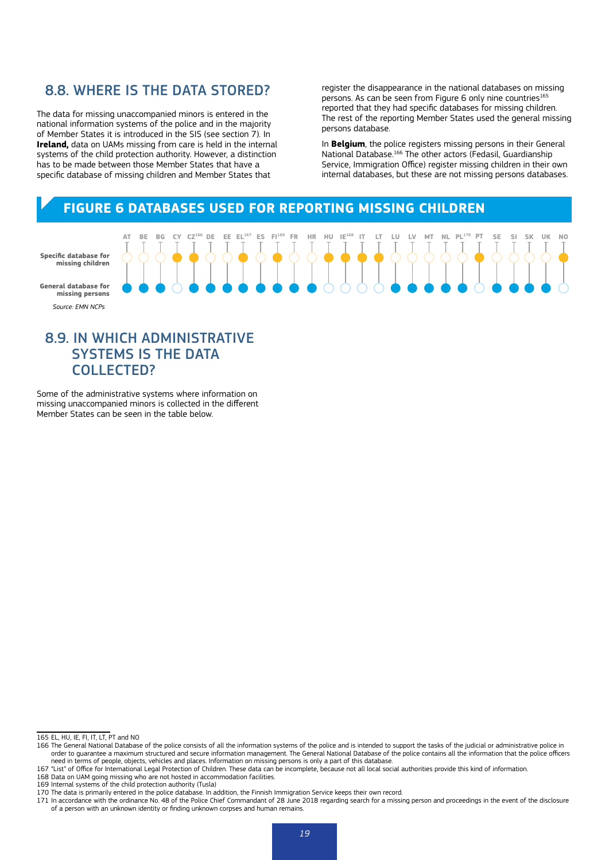#### 8.8. WHERE IS THE DATA STORED?

The data for missing unaccompanied minors is entered in the national information systems of the police and in the majority of Member States it is introduced in the SIS (see section 7). In **Ireland,** data on UAMs missing from care is held in the internal systems of the child protection authority. However, a distinction has to be made between those Member States that have a specific database of missing children and Member States that

register the disappearance in the national databases on missing persons. As can be seen from Figure 6 only nine countries<sup>165</sup> reported that they had specific databases for missing children. The rest of the reporting Member States used the general missing persons database.

In **Belgium**, the police registers missing persons in their General National Database.166 The other actors (Fedasil, Guardianship Service, Immigration Office) register missing children in their own internal databases, but these are not missing persons databases.

## **FIGURE 6 DATABASES USED FOR REPORTING MISSING CHILDREN**

|                                           | AT | <b>BE</b> | BG | CY | CZ <sup>166</sup> | DE |       | $EE$ $EL^{167}$ | ES | $F1^{169}$             | FR | <b>HR</b> | HU | $IE^{168}$    |  | LU | LV | MT                       | NL | PL <sup>170</sup> | P1 | <b>SE</b> | SI | SK | UK | N <sub>0</sub> |
|-------------------------------------------|----|-----------|----|----|-------------------|----|-------|-----------------|----|------------------------|----|-----------|----|---------------|--|----|----|--------------------------|----|-------------------|----|-----------|----|----|----|----------------|
| Specific database for<br>missing children |    |           |    |    |                   |    |       |                 |    |                        |    |           |    |               |  |    |    |                          |    |                   |    |           |    |    |    |                |
| General database for<br>missing persons   |    |           |    |    |                   |    | , , , |                 |    | $\bullet\bullet\prime$ |    |           |    | $\bullet$ 000 |  |    |    | $\overline{\phantom{0}}$ |    |                   |    |           |    |    |    | $\circ$        |
| Source: EMN NCPs                          |    |           |    |    |                   |    |       |                 |    |                        |    |           |    |               |  |    |    |                          |    |                   |    |           |    |    |    |                |

#### 8.9. IN WHICH ADMINISTRATIVE SYSTEMS IS THE DATA COLLECTED?

Some of the administrative systems where information on missing unaccompanied minors is collected in the different Member States can be seen in the table below.

<sup>165</sup> EL, HU, IE, FI, IT, LT, PT and NO

<sup>166</sup> The General National Database of the police consists of all the information systems of the police and is intended to support the tasks of the judicial or administrative police in order to guarantee a maximum structured and secure information management. The General National Database of the police contains all the information that the police officers need in terms of people, objects, vehicles and places. Information on missing persons is only a part of this database.

<sup>167</sup> "List" of Office for International Legal Protection of Children. These data can be incomplete, because not all local social authorities provide this kind of information.

<sup>168</sup> Data on UAM going missing who are not hosted in accommodation facilities.

<sup>169</sup> Internal systems of the child protection authority (Tusla)

<sup>170</sup> The data is primarily entered in the police database. In addition, the Finnish Immigration Service keeps their own record.<br>171 In accordance with the ordinance No. 48 of the Police Chief Commandant of 28 June 2018 rega of a person with an unknown identity or finding unknown corpses and human remains.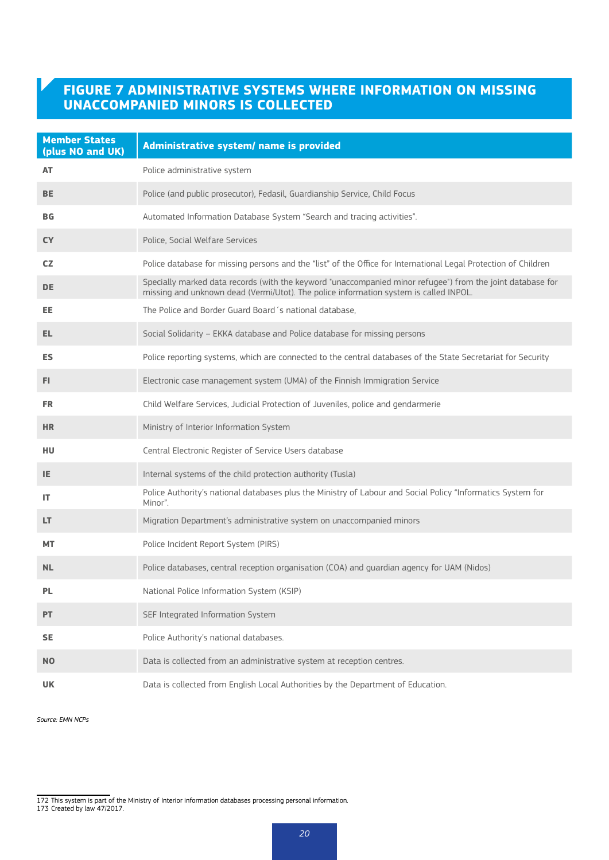## **FIGURE 7 ADMINISTRATIVE SYSTEMS WHERE INFORMATION ON MISSING UNACCOMPANIED MINORS IS COLLECTED**

| <b>Member States</b><br>(plus NO and UK) | Administrative system/ name is provided                                                                                                                                                             |
|------------------------------------------|-----------------------------------------------------------------------------------------------------------------------------------------------------------------------------------------------------|
| AT                                       | Police administrative system                                                                                                                                                                        |
| <b>BE</b>                                | Police (and public prosecutor), Fedasil, Guardianship Service, Child Focus                                                                                                                          |
| <b>BG</b>                                | Automated Information Database System "Search and tracing activities".                                                                                                                              |
| <b>CY</b>                                | Police, Social Welfare Services                                                                                                                                                                     |
| CZ.                                      | Police database for missing persons and the "list" of the Office for International Legal Protection of Children                                                                                     |
| <b>DE</b>                                | Specially marked data records (with the keyword "unaccompanied minor refugee") from the joint database for<br>missing and unknown dead (Vermi/Utot). The police information system is called INPOL. |
| EE.                                      | The Police and Border Guard Board 's national database,                                                                                                                                             |
| EL.                                      | Social Solidarity - EKKA database and Police database for missing persons                                                                                                                           |
| <b>ES</b>                                | Police reporting systems, which are connected to the central databases of the State Secretariat for Security                                                                                        |
| FI.                                      | Electronic case management system (UMA) of the Finnish Immigration Service                                                                                                                          |
| <b>FR</b>                                | Child Welfare Services, Judicial Protection of Juveniles, police and gendarmerie                                                                                                                    |
| <b>HR</b>                                | Ministry of Interior Information System                                                                                                                                                             |
| HU.                                      | Central Electronic Register of Service Users database                                                                                                                                               |
| IE.                                      | Internal systems of the child protection authority (Tusla)                                                                                                                                          |
| IT                                       | Police Authority's national databases plus the Ministry of Labour and Social Policy "Informatics System for<br>Minor".                                                                              |
| LT.                                      | Migration Department's administrative system on unaccompanied minors                                                                                                                                |
| <b>MT</b>                                | Police Incident Report System (PIRS)                                                                                                                                                                |
| <b>NL</b>                                | Police databases, central reception organisation (COA) and guardian agency for UAM (Nidos)                                                                                                          |
| <b>PL</b>                                | National Police Information System (KSIP)                                                                                                                                                           |
| <b>PT</b>                                | SEF Integrated Information System                                                                                                                                                                   |
| <b>SE</b>                                | Police Authority's national databases.                                                                                                                                                              |
| <b>NO</b>                                | Data is collected from an administrative system at reception centres.                                                                                                                               |
| UK                                       | Data is collected from English Local Authorities by the Department of Education.                                                                                                                    |

Source: EMN NCPs

172 This system is part of the Ministry of Interior information databases processing personal information.

<sup>173</sup> Created by law 47/2017.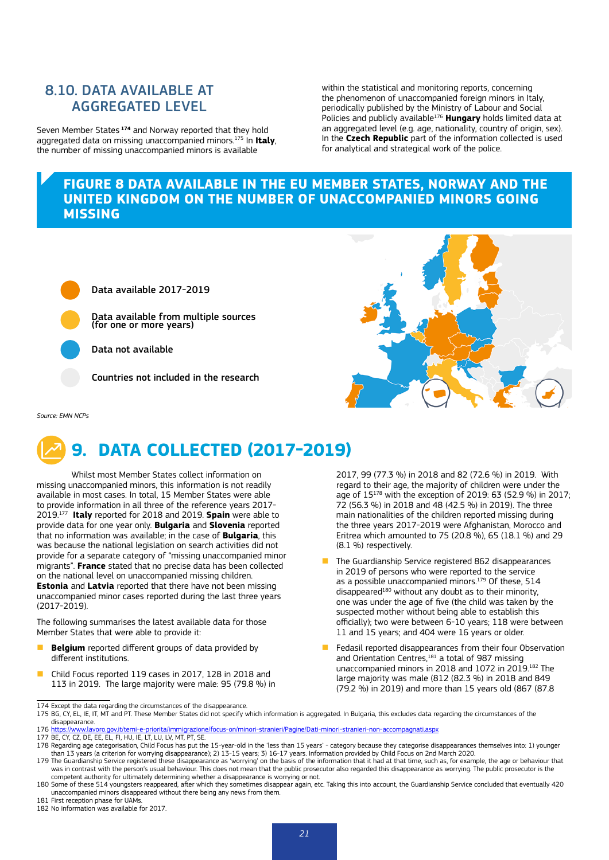## 8.10. DATA AVAILABLE AT AGGREGATED LEVEL

Seven Member States **<sup>174</sup>** and Norway reported that they hold aggregated data on missing unaccompanied minors.175 In **Italy**, the number of missing unaccompanied minors is available

within the statistical and monitoring reports, concerning the phenomenon of unaccompanied foreign minors in Italy, periodically published by the Ministry of Labour and Social Policies and publicly available176 **Hungary** holds limited data at an aggregated level (e.g. age, nationality, country of origin, sex). In the **Czech Republic** part of the information collected is used for analytical and strategical work of the police.

#### **FIGURE 8 DATA AVAILABLE IN THE EU MEMBER STATES, NORWAY AND THE UNITED KINGDOM ON THE NUMBER OF UNACCOMPANIED MINORS GOING MISSING**



Data available 2017-2019

Data available from multiple sources (for one or more years)

Data not available

Countries not included in the research

*Source: EMN NCPs*

# **9. DATA COLLECTED (2017-2019)**

Whilst most Member States collect information on missing unaccompanied minors, this information is not readily available in most cases. In total, 15 Member States were able to provide information in all three of the reference years 2017- 2019.177 **Italy** reported for 2018 and 2019. **Spain** were able to provide data for one year only. **Bulgaria** and **Slovenia** reported that no information was available; in the case of **Bulgaria**, this was because the national legislation on search activities did not provide for a separate category of "missing unaccompanied minor migrants". **France** stated that no precise data has been collected on the national level on unaccompanied missing children. **Estonia** and **Latvia** reported that there have not been missing unaccompanied minor cases reported during the last three years (2017-2019).

The following summarises the latest available data for those Member States that were able to provide it:

- **Belgium** reported different groups of data provided by different institutions.
- n Child Focus reported 119 cases in 2017, 128 in 2018 and 113 in 2019. The large majority were male: 95 (79.8 %) in

2017, 99 (77.3 %) in 2018 and 82 (72.6 %) in 2019. With regard to their age, the majority of children were under the age of 15178 with the exception of 2019: 63 (52.9 %) in 2017; 72 (56.3 %) in 2018 and 48 (42.5 %) in 2019). The three main nationalities of the children reported missing during the three years 2017-2019 were Afghanistan, Morocco and Eritrea which amounted to 75 (20.8 %), 65 (18.1 %) and 29 (8.1 %) respectively.

- **n** The Guardianship Service registered 862 disappearances in 2019 of persons who were reported to the service as a possible unaccompanied minors.<sup>179</sup> Of these, 514  $disapped<sup>180</sup>$  without any doubt as to their minority, one was under the age of five (the child was taken by the suspected mother without being able to establish this officially); two were between 6-10 years; 118 were between 11 and 15 years; and 404 were 16 years or older.
- **n** Fedasil reported disappearances from their four Observation and Orientation Centres,<sup>181</sup> a total of 987 missing unaccompanied minors in 2018 and 1072 in 2019.182 The large majority was male (812 (82.3 %) in 2018 and 849 (79.2 %) in 2019) and more than 15 years old (867 (87.8

<sup>174</sup> Except the data regarding the circumstances of the disappearance.

<sup>175</sup> BG, CY, EL, IE, IT, MT and PT. These Member States did not specify which information is aggregated. In Bulgaria, this excludes data regarding the circumstances of the disappearance.

<sup>176 &</sup>lt;u>https://www.lavoro.gov.it/temi-e-priorita/immigrazione/focus-on/minori-stranieri/Pagine/Dati-minori-stranieri-non-accompagnati.aspx<br>177 BE, CY, CZ, DE, EE, EL, FI, HU, IE, LT, LU, LV, MT, PT, SE.</u>

<sup>178</sup> Regarding age categorisation, Child Focus has put the 15-year-old in the 'less than 15 years' - category because they categorise disappearances themselves into: 1) younger than 13 years (a criterion for worrying disappearance); 2) 13-15 years; 3) 16-17 years. Information provided by Child Focus on 2nd March 2020.

<sup>179</sup> The Guardianship Service registered these disappearance as 'worrying' on the basis of the information that it had at that time, such as, for example, the age or behaviour that hat the person's usual behaviour. This doe competent authority for ultimately determining whether a disappearance is worrying or not.

<sup>180</sup> Some of these 514 youngsters reappeared, after which they sometimes disappear again, etc. Taking this into account, the Guardianship Service concluded that eventually 420 unaccompanied minors disappeared without there being any news from them.

<sup>181</sup> First reception phase for UAMs.

<sup>182</sup> No information was available for 2017.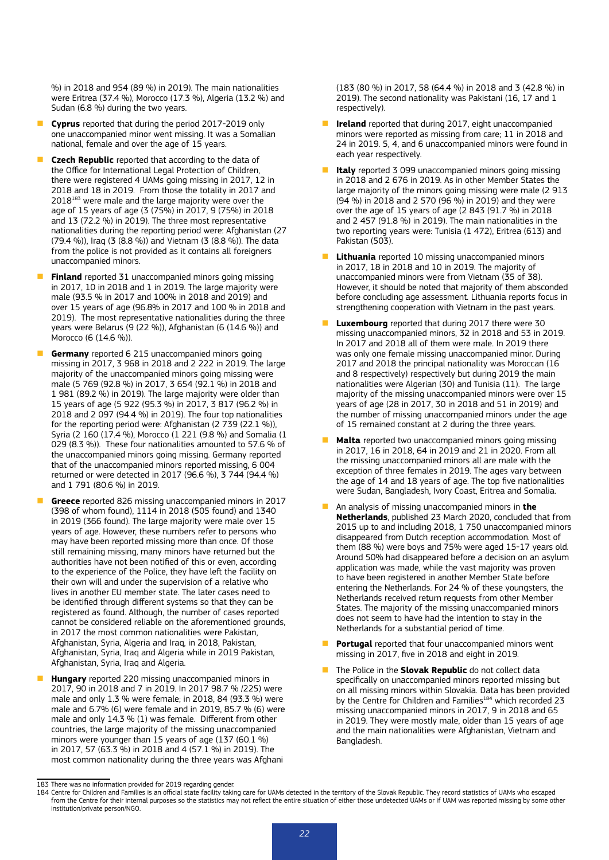%) in 2018 and 954 (89 %) in 2019). The main nationalities were Eritrea (37.4 %), Morocco (17.3 %), Algeria (13.2 %) and Sudan (6.8 %) during the two years.

- **Cyprus** reported that during the period 2017-2019 only one unaccompanied minor went missing. It was a Somalian national, female and over the age of 15 years.
- **Czech Republic** reported that according to the data of the Office for International Legal Protection of Children, there were registered 4 UAMs going missing in 2017, 12 in 2018 and 18 in 2019. From those the totality in 2017 and 2018<sup>183</sup> were male and the large majority were over the age of 15 years of age (3 (75%) in 2017, 9 (75%) in 2018 and 13 (72.2 %) in 2019). The three most representative nationalities during the reporting period were: Afghanistan (27 (79.4 %)), Iraq (3 (8.8 %)) and Vietnam (3 (8.8 %)). The data from the police is not provided as it contains all foreigners unaccompanied minors.
- **Finland** reported 31 unaccompanied minors going missing in 2017, 10 in 2018 and 1 in 2019. The large majority were male (93.5 % in 2017 and 100% in 2018 and 2019) and over 15 years of age (96.8% in 2017 and 100 % in 2018 and 2019). The most representative nationalities during the three years were Belarus (9 (22 %)), Afghanistan (6 (14.6 %)) and Morocco (6 (14.6 %)).
- **Germany** reported 6 215 unaccompanied minors going missing in 2017, 3 968 in 2018 and 2 222 in 2019. The large majority of the unaccompanied minors going missing were male (5 769 (92.8 %) in 2017, 3 654 (92.1 %) in 2018 and 1 981 (89.2 %) in 2019). The large majority were older than 15 years of age (5 922 (95.3 %) in 2017, 3 817 (96.2 %) in 2018 and 2 097 (94.4 %) in 2019). The four top nationalities for the reporting period were: Afghanistan (2 739 (22.1 %)), Syria (2 160 (17.4 %), Morocco (1 221 (9.8 %) and Somalia (1 029 (8.3 %)). These four nationalities amounted to 57.6 % of the unaccompanied minors going missing. Germany reported that of the unaccompanied minors reported missing, 6 004 returned or were detected in 2017 (96.6 %), 3 744 (94.4 %) and 1 791 (80.6 %) in 2019.
- **Greece** reported 826 missing unaccompanied minors in 2017 (398 of whom found), 1114 in 2018 (505 found) and 1340 in 2019 (366 found). The large majority were male over 15 years of age. However, these numbers refer to persons who may have been reported missing more than once. Of those still remaining missing, many minors have returned but the authorities have not been notified of this or even, according to the experience of the Police, they have left the facility on their own will and under the supervision of a relative who lives in another EU member state. The later cases need to be identified through different systems so that they can be registered as found. Although, the number of cases reported cannot be considered reliable on the aforementioned grounds, in 2017 the most common nationalities were Pakistan, Afghanistan, Syria, Algeria and Iraq, in 2018, Pakistan, Afghanistan, Syria, Iraq and Algeria while in 2019 Pakistan, Afghanistan, Syria, Iraq and Algeria.
- **Hungary** reported 220 missing unaccompanied minors in 2017, 90 in 2018 and 7 in 2019. In 2017 98.7 % /225) were male and only 1.3 % were female; in 2018, 84 (93.3 %) were male and 6.7% (6) were female and in 2019, 85.7 % (6) were male and only 14.3 % (1) was female. Different from other countries, the large majority of the missing unaccompanied minors were younger than 15 years of age (137 (60.1 %) in 2017, 57 (63.3 %) in 2018 and 4 (57.1 %) in 2019). The most common nationality during the three years was Afghani

(183 (80 %) in 2017, 58 (64.4 %) in 2018 and 3 (42.8 %) in 2019). The second nationality was Pakistani (16, 17 and 1 respectively).

- **Ireland** reported that during 2017, eight unaccompanied minors were reported as missing from care; 11 in 2018 and 24 in 2019. 5, 4, and 6 unaccompanied minors were found in each year respectively.
- **Italy** reported 3 099 unaccompanied minors going missing in 2018 and 2 676 in 2019. As in other Member States the large majority of the minors going missing were male (2 913 (94 %) in 2018 and 2 570 (96 %) in 2019) and they were over the age of 15 years of age (2 843 (91.7 %) in 2018 and 2 457 (91.8 %) in 2019). The main nationalities in the two reporting years were: Tunisia (1 472), Eritrea (613) and Pakistan (503).
- **Lithuania** reported 10 missing unaccompanied minors in 2017, 18 in 2018 and 10 in 2019. The majority of unaccompanied minors were from Vietnam (35 of 38). However, it should be noted that majority of them absconded before concluding age assessment. Lithuania reports focus in strengthening cooperation with Vietnam in the past years.
- **Luxembourg** reported that during 2017 there were 30 missing unaccompanied minors, 32 in 2018 and 53 in 2019. In 2017 and 2018 all of them were male. In 2019 there was only one female missing unaccompanied minor. During 2017 and 2018 the principal nationality was Moroccan (16 and 8 respectively) respectively but during 2019 the main nationalities were Algerian (30) and Tunisia (11). The large majority of the missing unaccompanied minors were over 15 years of age (28 in 2017, 30 in 2018 and 51 in 2019) and the number of missing unaccompanied minors under the age of 15 remained constant at 2 during the three years.
- **n Malta** reported two unaccompanied minors going missing in 2017, 16 in 2018, 64 in 2019 and 21 in 2020. From all the missing unaccompanied minors all are male with the exception of three females in 2019. The ages vary between the age of 14 and 18 years of age. The top five nationalities were Sudan, Bangladesh, Ivory Coast, Eritrea and Somalia.
- **n** An analysis of missing unaccompanied minors in **the Netherlands**, published 23 March 2020, concluded that from 2015 up to and including 2018, 1 750 unaccompanied minors disappeared from Dutch reception accommodation. Most of them (88 %) were boys and 75% were aged 15-17 years old. Around 50% had disappeared before a decision on an asylum application was made, while the vast majority was proven to have been registered in another Member State before entering the Netherlands. For 24 % of these youngsters, the Netherlands received return requests from other Member States. The majority of the missing unaccompanied minors does not seem to have had the intention to stay in the Netherlands for a substantial period of time.
- **Portugal** reported that four unaccompanied minors went missing in 2017, five in 2018 and eight in 2019.
- n The Police in the **Slovak Republic** do not collect data specifically on unaccompanied minors reported missing but on all missing minors within Slovakia. Data has been provided by the Centre for Children and Families<sup>184</sup> which recorded 23 missing unaccompanied minors in 2017, 9 in 2018 and 65 in 2019. They were mostly male, older than 15 years of age and the main nationalities were Afghanistan, Vietnam and **Bangladesh**

<sup>183</sup> There was no information provided for 2019 regarding gender.

<sup>184</sup> Centre for Children and Families is an official state facility taking care for UAMs detected in the territory of the Slovak Republic. They record statistics of UAMs who escaped from the Centre for their internal purposes so the statistics may not reflect the entire situation of either those undetected UAMs or if UAM was reported missing by some other institution/private person/NGO.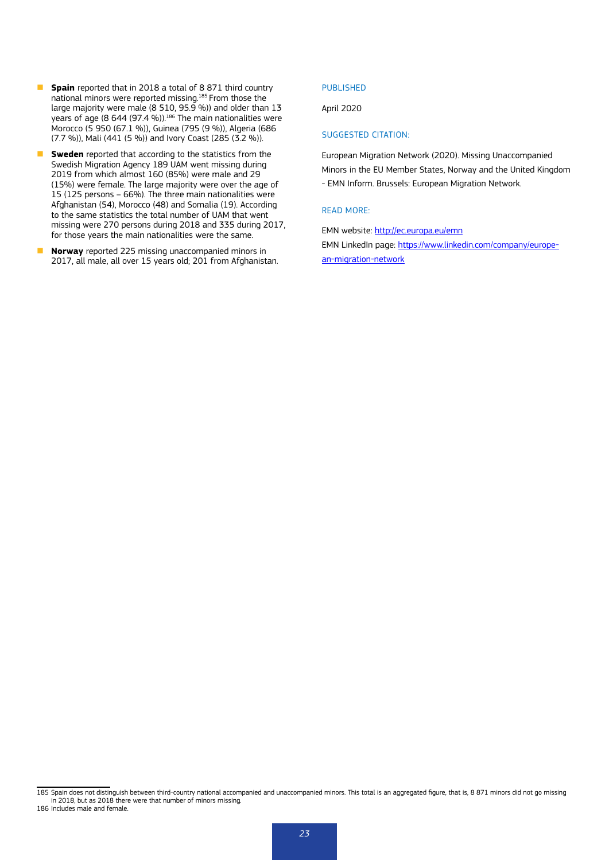- **Spain** reported that in 2018 a total of 8 871 third country national minors were reported missing.185 From those the large majority were male (8 510, 95.9 %)) and older than 13 vears of age  $(8, 644, 97.4, 96)$ ).<sup>186</sup> The main nationalities were Morocco (5 950 (67.1 %)), Guinea (795 (9 %)), Algeria (686 (7.7 %)), Mali (441 (5 %)) and Ivory Coast (285 (3.2 %)).
- **F** Sweden reported that according to the statistics from the Swedish Migration Agency 189 UAM went missing during 2019 from which almost 160 (85%) were male and 29 (15%) were female. The large majority were over the age of 15 (125 persons – 66%). The three main nationalities were Afghanistan (54), Morocco (48) and Somalia (19). According to the same statistics the total number of UAM that went missing were 270 persons during 2018 and 335 during 2017, for those years the main nationalities were the same.
- **Norway** reported 225 missing unaccompanied minors in 2017, all male, all over 15 years old; 201 from Afghanistan.

#### PUBLISHED

#### April 2020

#### SUGGESTED CITATION:

European Migration Network (2020). Missing Unaccompanied Minors in the EU Member States, Norway and the United Kingdom - EMN Inform. Brussels: European Migration Network.

#### READ MORE:

EMN website: <http://ec.europa.eu/emn> EMN LinkedIn page: [https://www.linkedin.com/company/europe](https://www.linkedin.com/company/european-migration-network)[an-migration-network](https://www.linkedin.com/company/european-migration-network)

<sup>185</sup> Spain does not distinguish between third-country national accompanied and unaccompanied minors. This total is an aggregated figure, that is, 8 871 minors did not go missing in 2018, but as 2018 there were that number of minors missing. 186 Includes male and female.